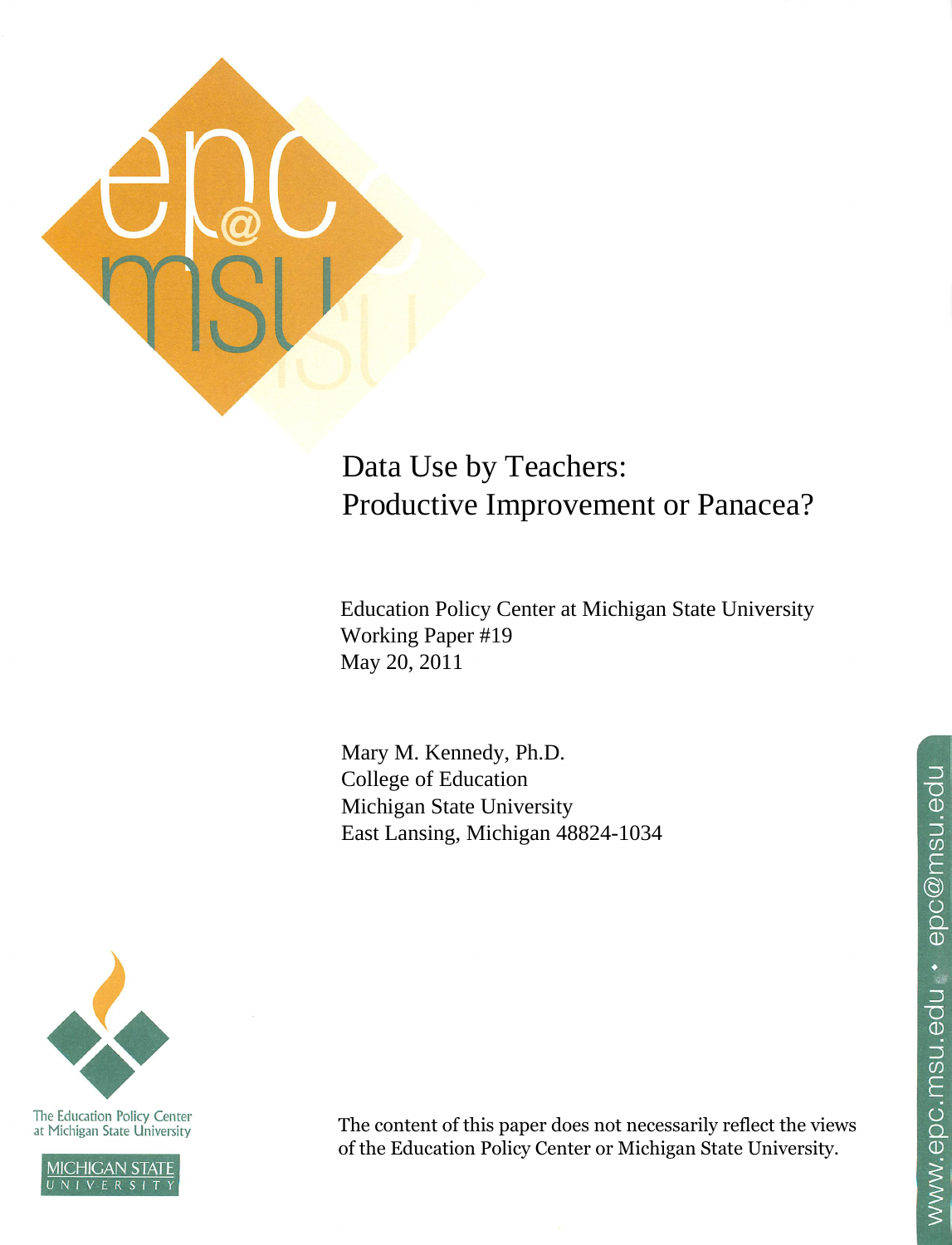

# Data Use by Teachers: Productive Improvement or Panacea?

**Education Policy Center at Michigan State University** Working Paper #19 May 20, 2011

Mary M. Kennedy, Ph.D. College of Education Michigan State University East Lansing, Michigan 48824-1034



The Education Policy Center<br>at Michigan State University



The content of this paper does not necessarily reflect the views of the Education Policy Center or Michigan State University.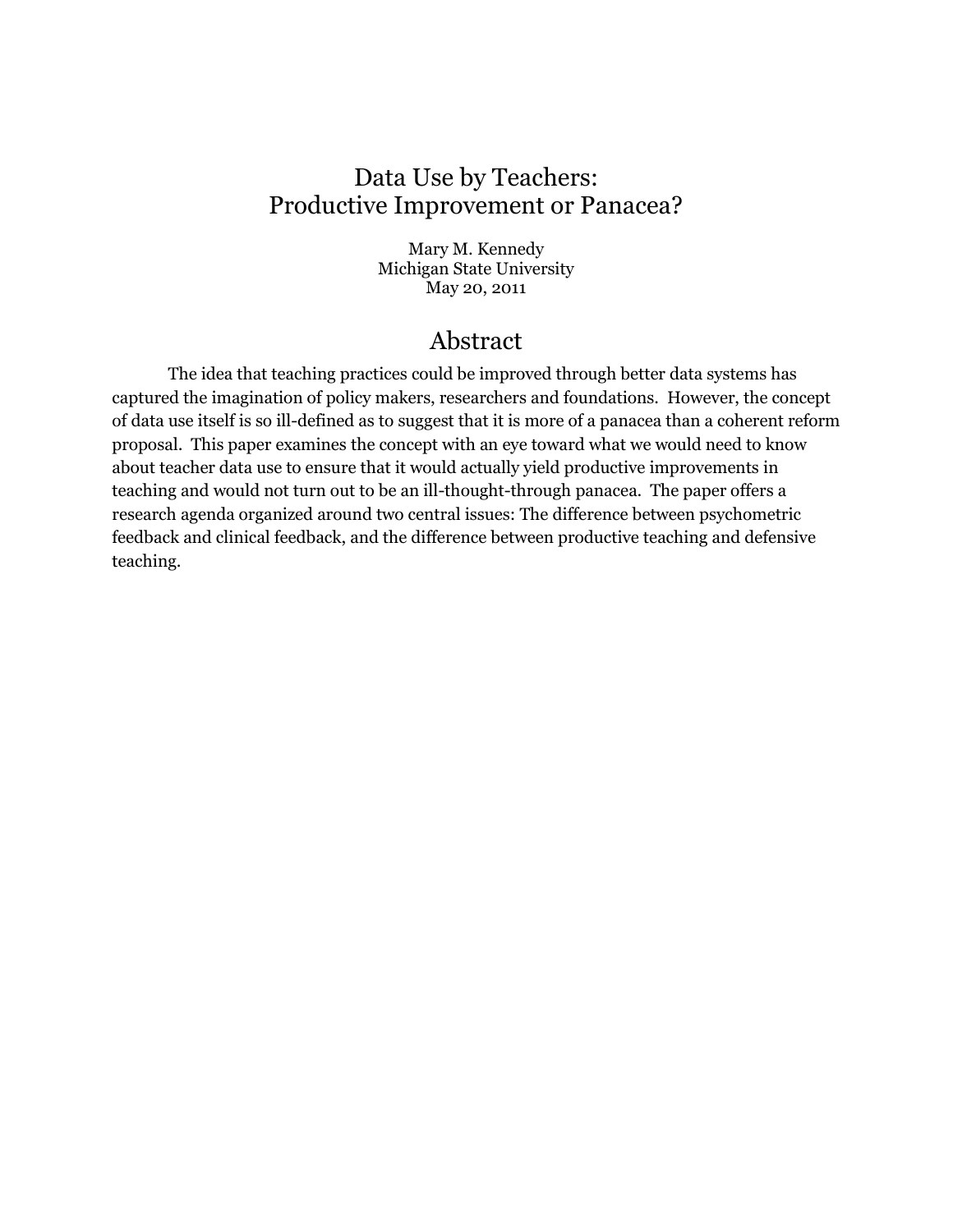# Data Use by Teachers: Productive Improvement or Panacea?

Mary M. Kennedy Michigan State University May 20, 2011

# Abstract

The idea that teaching practices could be improved through better data systems has captured the imagination of policy makers, researchers and foundations. However, the concept of data use itself is so ill-defined as to suggest that it is more of a panacea than a coherent reform proposal. This paper examines the concept with an eye toward what we would need to know about teacher data use to ensure that it would actually yield productive improvements in teaching and would not turn out to be an ill-thought-through panacea. The paper offers a research agenda organized around two central issues: The difference between psychometric feedback and clinical feedback, and the difference between productive teaching and defensive teaching.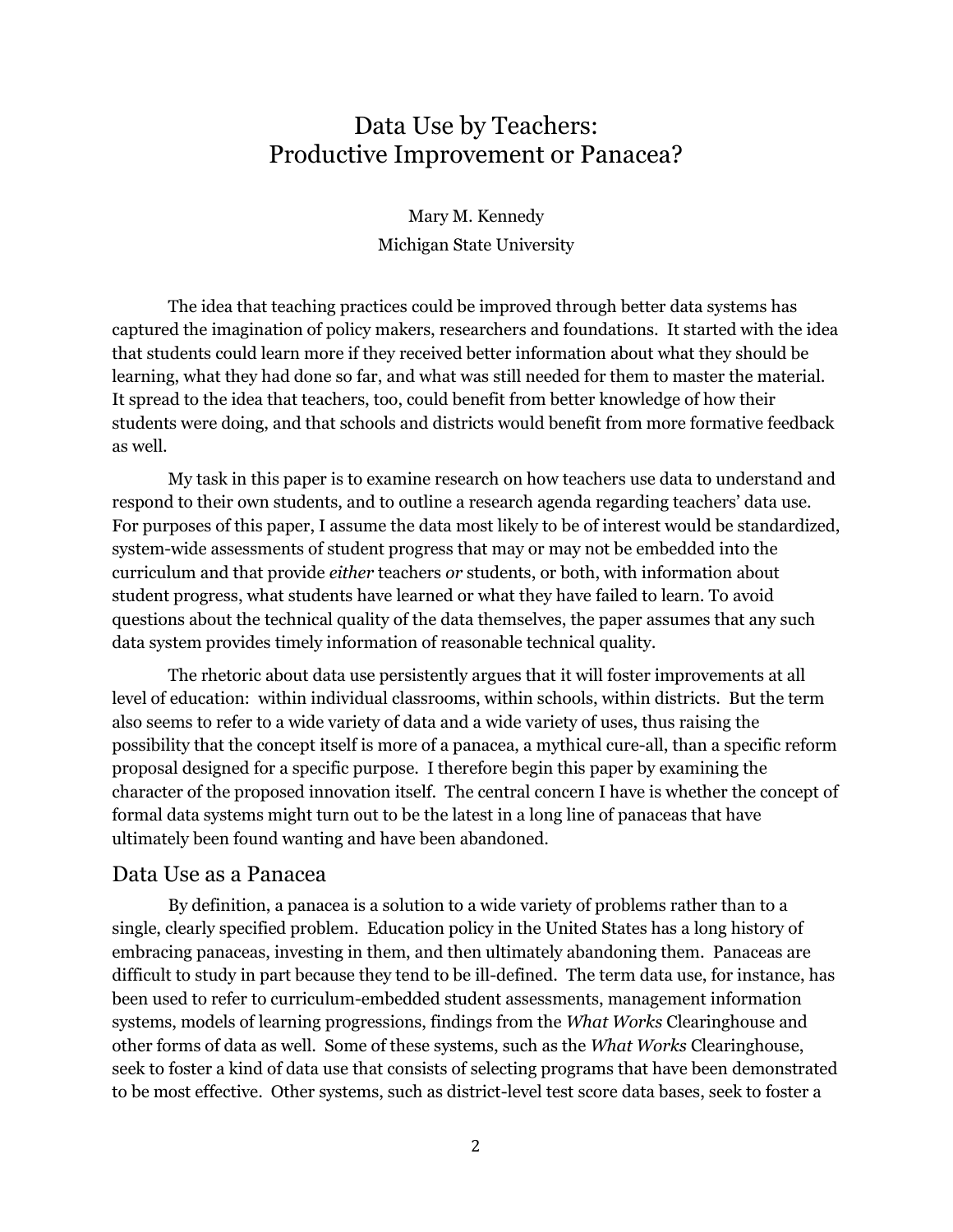# Data Use by Teachers: Productive Improvement or Panacea?

Mary M. Kennedy Michigan State University

The idea that teaching practices could be improved through better data systems has captured the imagination of policy makers, researchers and foundations. It started with the idea that students could learn more if they received better information about what they should be learning, what they had done so far, and what was still needed for them to master the material. It spread to the idea that teachers, too, could benefit from better knowledge of how their students were doing, and that schools and districts would benefit from more formative feedback as well.

My task in this paper is to examine research on how teachers use data to understand and respond to their own students, and to outline a research agenda regarding teachers' data use. For purposes of this paper, I assume the data most likely to be of interest would be standardized, system-wide assessments of student progress that may or may not be embedded into the curriculum and that provide *either* teachers *or* students, or both, with information about student progress, what students have learned or what they have failed to learn. To avoid questions about the technical quality of the data themselves, the paper assumes that any such data system provides timely information of reasonable technical quality.

The rhetoric about data use persistently argues that it will foster improvements at all level of education: within individual classrooms, within schools, within districts. But the term also seems to refer to a wide variety of data and a wide variety of uses, thus raising the possibility that the concept itself is more of a panacea, a mythical cure-all, than a specific reform proposal designed for a specific purpose. I therefore begin this paper by examining the character of the proposed innovation itself. The central concern I have is whether the concept of formal data systems might turn out to be the latest in a long line of panaceas that have ultimately been found wanting and have been abandoned.

#### Data Use as a Panacea

By definition, a panacea is a solution to a wide variety of problems rather than to a single, clearly specified problem. Education policy in the United States has a long history of embracing panaceas, investing in them, and then ultimately abandoning them. Panaceas are difficult to study in part because they tend to be ill-defined. The term data use, for instance, has been used to refer to curriculum-embedded student assessments, management information systems, models of learning progressions, findings from the *What Works* Clearinghouse and other forms of data as well. Some of these systems, such as the *What Works* Clearinghouse, seek to foster a kind of data use that consists of selecting programs that have been demonstrated to be most effective. Other systems, such as district-level test score data bases, seek to foster a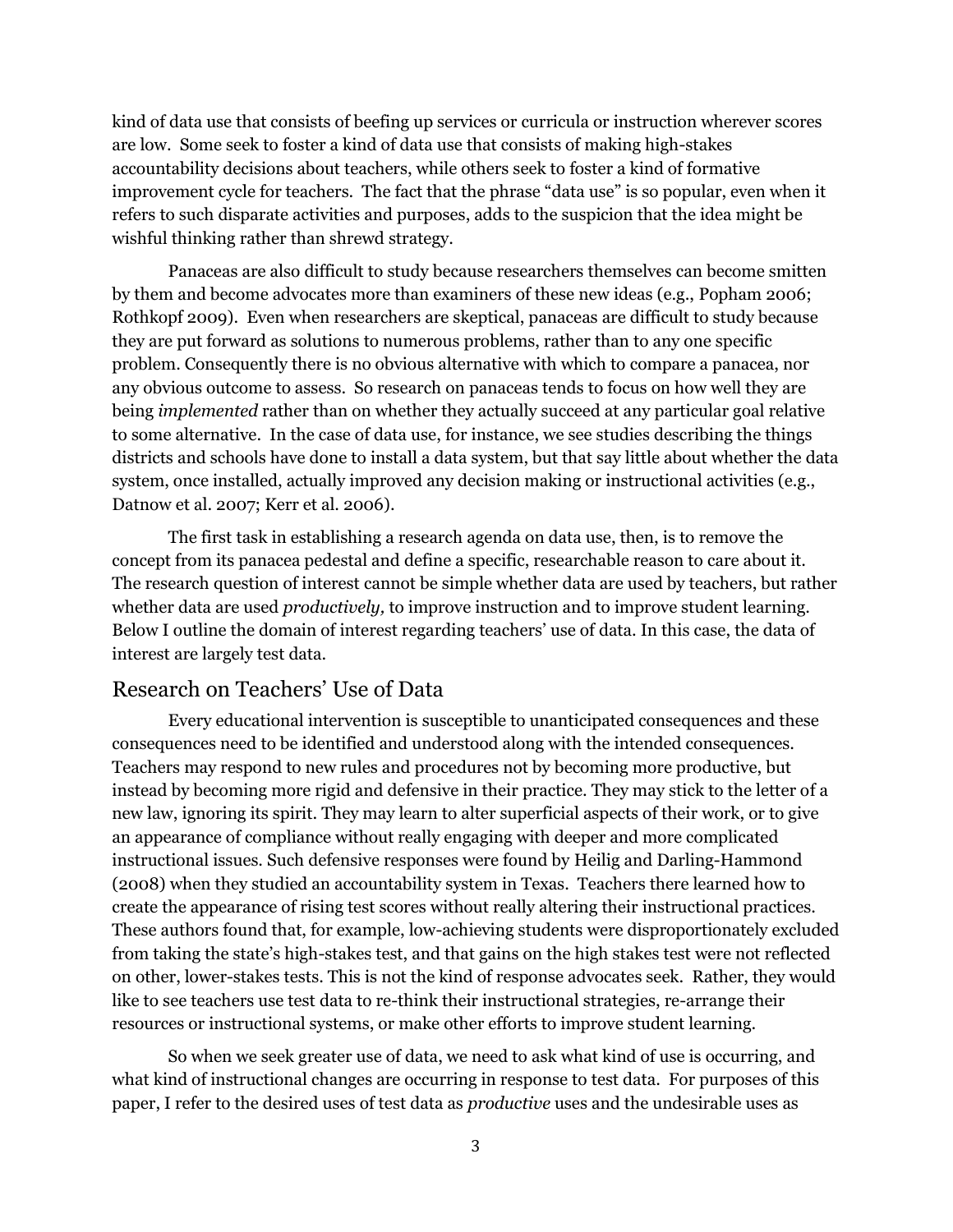kind of data use that consists of beefing up services or curricula or instruction wherever scores are low. Some seek to foster a kind of data use that consists of making high-stakes accountability decisions about teachers, while others seek to foster a kind of formative improvement cycle for teachers. The fact that the phrase "data use" is so popular, even when it refers to such disparate activities and purposes, adds to the suspicion that the idea might be wishful thinking rather than shrewd strategy.

Panaceas are also difficult to study because researchers themselves can become smitten by them and become advocates more than examiners of these new ideas (e.g., [Popham 2006;](#page-21-0) [Rothkopf 2009\)](#page-21-1). Even when researchers are skeptical, panaceas are difficult to study because they are put forward as solutions to numerous problems, rather than to any one specific problem. Consequently there is no obvious alternative with which to compare a panacea, nor any obvious outcome to assess. So research on panaceas tends to focus on how well they are being *implemented* rather than on whether they actually succeed at any particular goal relative to some alternative. In the case of data use, for instance, we see studies describing the things districts and schools have done to install a data system, but that say little about whether the data system, once installed, actually improved any decision making or instructional activities (e.g., [Datnow et al. 2007;](#page-19-0) [Kerr et al. 2006\)](#page-20-0).

The first task in establishing a research agenda on data use, then, is to remove the concept from its panacea pedestal and define a specific, researchable reason to care about it. The research question of interest cannot be simple whether data are used by teachers, but rather whether data are used *productively,* to improve instruction and to improve student learning. Below I outline the domain of interest regarding teachers' use of data. In this case, the data of interest are largely test data.

### Research on Teachers' Use of Data

Every educational intervention is susceptible to unanticipated consequences and these consequences need to be identified and understood along with the intended consequences. Teachers may respond to new rules and procedures not by becoming more productive, but instead by becoming more rigid and defensive in their practice. They may stick to the letter of a new law, ignoring its spirit. They may learn to alter superficial aspects of their work, or to give an appearance of compliance without really engaging with deeper and more complicated instructional issues. Such defensive responses were found by [Heilig and Darling-Hammond](#page-20-1)  [\(2008\)](#page-20-1) when they studied an accountability system in Texas. Teachers there learned how to create the appearance of rising test scores without really altering their instructional practices. These authors found that, for example, low-achieving students were disproportionately excluded from taking the state's high-stakes test, and that gains on the high stakes test were not reflected on other, lower-stakes tests. This is not the kind of response advocates seek. Rather, they would like to see teachers use test data to re-think their instructional strategies, re-arrange their resources or instructional systems, or make other efforts to improve student learning.

So when we seek greater use of data, we need to ask what kind of use is occurring, and what kind of instructional changes are occurring in response to test data. For purposes of this paper, I refer to the desired uses of test data as *productive* uses and the undesirable uses as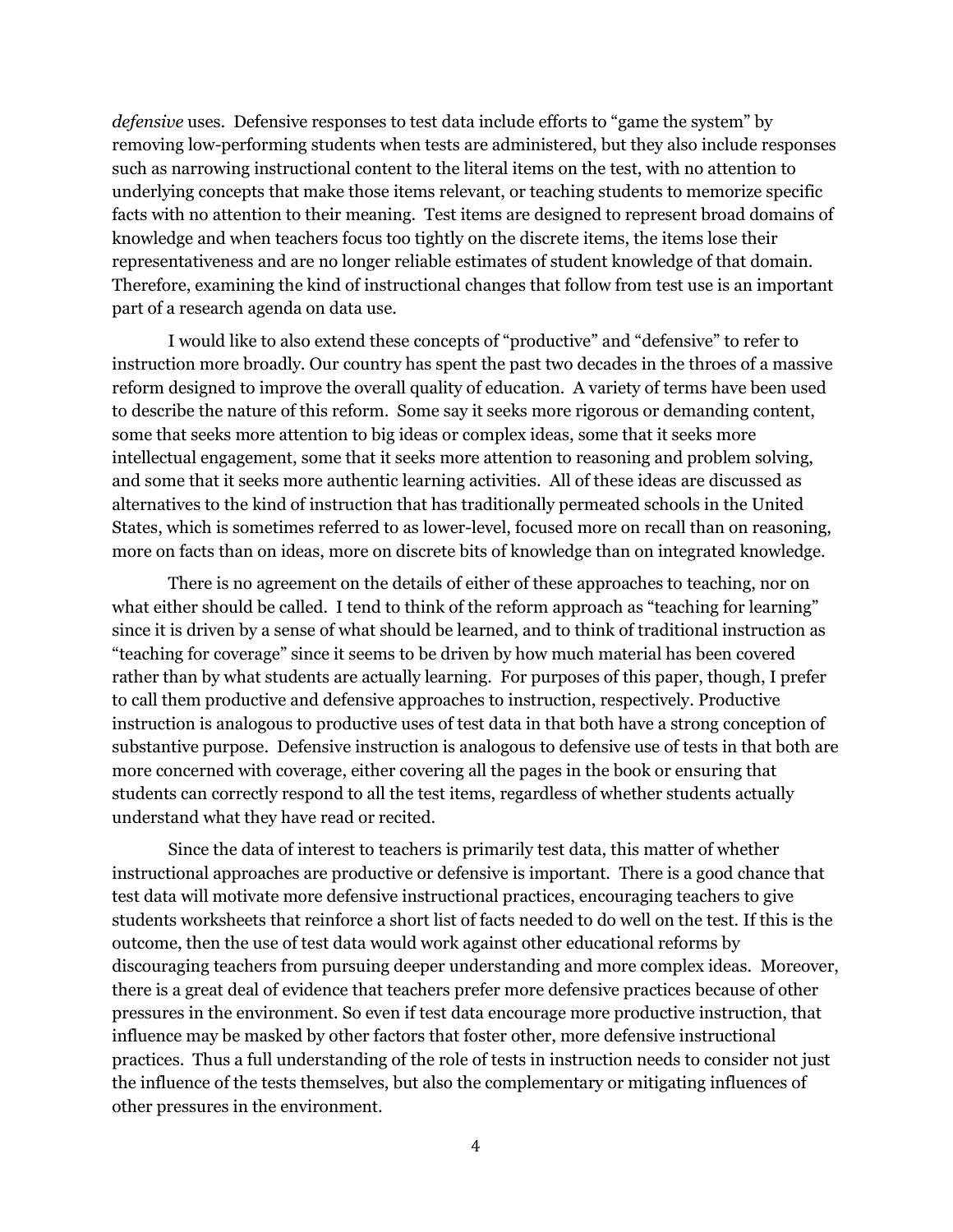*defensive* uses. Defensive responses to test data include efforts to "game the system" by removing low-performing students when tests are administered, but they also include responses such as narrowing instructional content to the literal items on the test, with no attention to underlying concepts that make those items relevant, or teaching students to memorize specific facts with no attention to their meaning. Test items are designed to represent broad domains of knowledge and when teachers focus too tightly on the discrete items, the items lose their representativeness and are no longer reliable estimates of student knowledge of that domain. Therefore, examining the kind of instructional changes that follow from test use is an important part of a research agenda on data use.

I would like to also extend these concepts of "productive" and "defensive" to refer to instruction more broadly. Our country has spent the past two decades in the throes of a massive reform designed to improve the overall quality of education. A variety of terms have been used to describe the nature of this reform. Some say it seeks more rigorous or demanding content, some that seeks more attention to big ideas or complex ideas, some that it seeks more intellectual engagement, some that it seeks more attention to reasoning and problem solving, and some that it seeks more authentic learning activities. All of these ideas are discussed as alternatives to the kind of instruction that has traditionally permeated schools in the United States, which is sometimes referred to as lower-level, focused more on recall than on reasoning, more on facts than on ideas, more on discrete bits of knowledge than on integrated knowledge.

There is no agreement on the details of either of these approaches to teaching, nor on what either should be called. I tend to think of the reform approach as "teaching for learning" since it is driven by a sense of what should be learned, and to think of traditional instruction as ―teaching for coverage‖ since it seems to be driven by how much material has been covered rather than by what students are actually learning. For purposes of this paper, though, I prefer to call them productive and defensive approaches to instruction, respectively. Productive instruction is analogous to productive uses of test data in that both have a strong conception of substantive purpose. Defensive instruction is analogous to defensive use of tests in that both are more concerned with coverage, either covering all the pages in the book or ensuring that students can correctly respond to all the test items, regardless of whether students actually understand what they have read or recited.

Since the data of interest to teachers is primarily test data, this matter of whether instructional approaches are productive or defensive is important. There is a good chance that test data will motivate more defensive instructional practices, encouraging teachers to give students worksheets that reinforce a short list of facts needed to do well on the test. If this is the outcome, then the use of test data would work against other educational reforms by discouraging teachers from pursuing deeper understanding and more complex ideas. Moreover, there is a great deal of evidence that teachers prefer more defensive practices because of other pressures in the environment. So even if test data encourage more productive instruction, that influence may be masked by other factors that foster other, more defensive instructional practices. Thus a full understanding of the role of tests in instruction needs to consider not just the influence of the tests themselves, but also the complementary or mitigating influences of other pressures in the environment.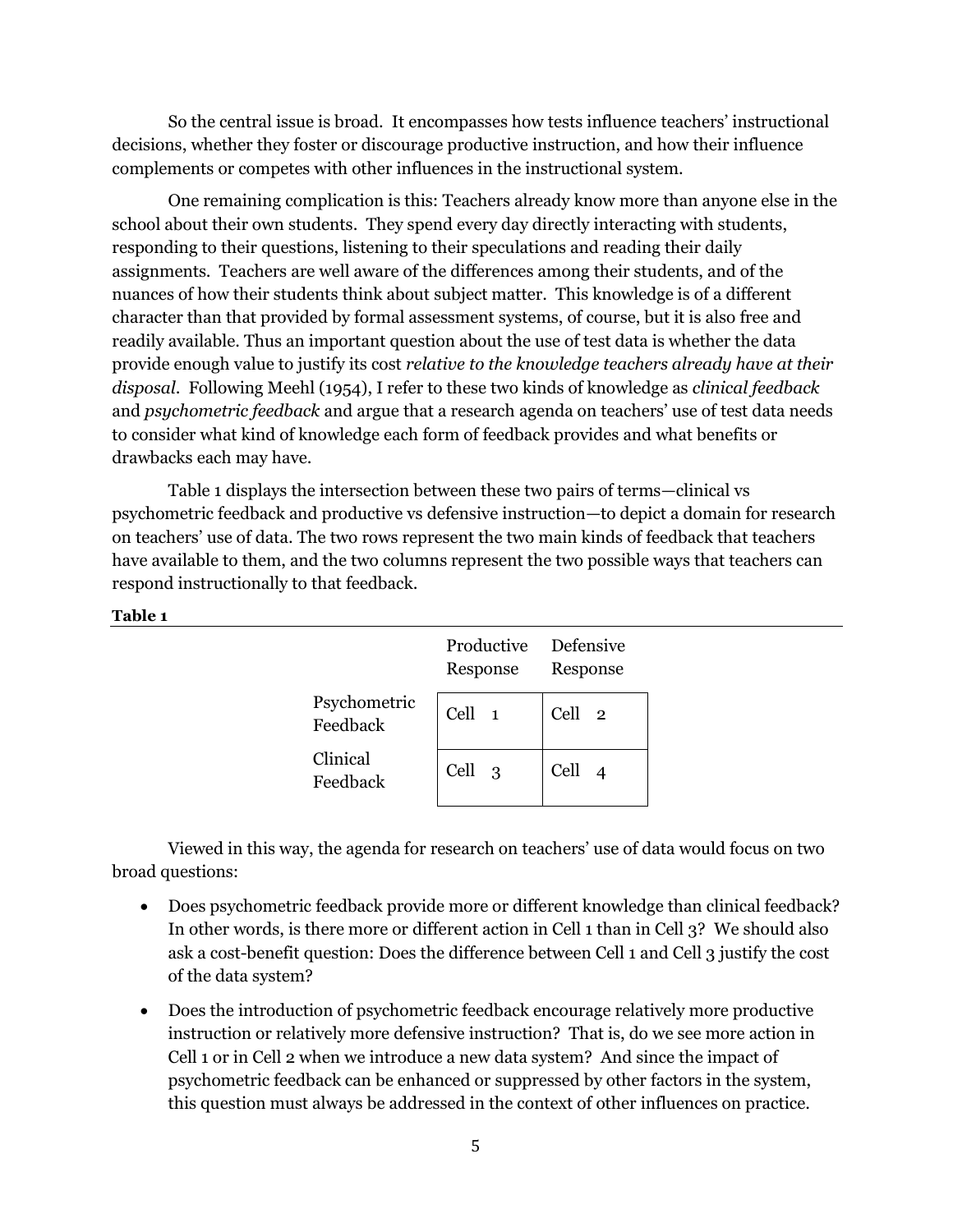So the central issue is broad. It encompasses how tests influence teachers' instructional decisions, whether they foster or discourage productive instruction, and how their influence complements or competes with other influences in the instructional system.

One remaining complication is this: Teachers already know more than anyone else in the school about their own students. They spend every day directly interacting with students, responding to their questions, listening to their speculations and reading their daily assignments. Teachers are well aware of the differences among their students, and of the nuances of how their students think about subject matter. This knowledge is of a different character than that provided by formal assessment systems, of course, but it is also free and readily available. Thus an important question about the use of test data is whether the data provide enough value to justify its cost *relative to the knowledge teachers already have at their disposal*. Following [Meehl \(1954\)](#page-21-2), I refer to these two kinds of knowledge as *clinical feedback*  and *psychometric feedback* and argue that a research agenda on teachers' use of test data needs to consider what kind of knowledge each form of feedback provides and what benefits or drawbacks each may have.

Table 1 displays the intersection between these two pairs of terms—clinical vs psychometric feedback and productive vs defensive instruction—to depict a domain for research on teachers' use of data. The two rows represent the two main kinds of feedback that teachers have available to them, and the two columns represent the two possible ways that teachers can respond instructionally to that feedback.

#### **Table 1**

|                          | Productive Defensive<br>Response | Response |
|--------------------------|----------------------------------|----------|
| Psychometric<br>Feedback | Cell 1                           | Cell 2   |
| Clinical<br>Feedback     | Cell 3                           | Cell 4   |

Viewed in this way, the agenda for research on teachers' use of data would focus on two broad questions:

- Does psychometric feedback provide more or different knowledge than clinical feedback? In other words, is there more or different action in Cell 1 than in Cell 3? We should also ask a cost-benefit question: Does the difference between Cell 1 and Cell 3 justify the cost of the data system?
- Does the introduction of psychometric feedback encourage relatively more productive instruction or relatively more defensive instruction? That is, do we see more action in Cell 1 or in Cell 2 when we introduce a new data system? And since the impact of psychometric feedback can be enhanced or suppressed by other factors in the system, this question must always be addressed in the context of other influences on practice.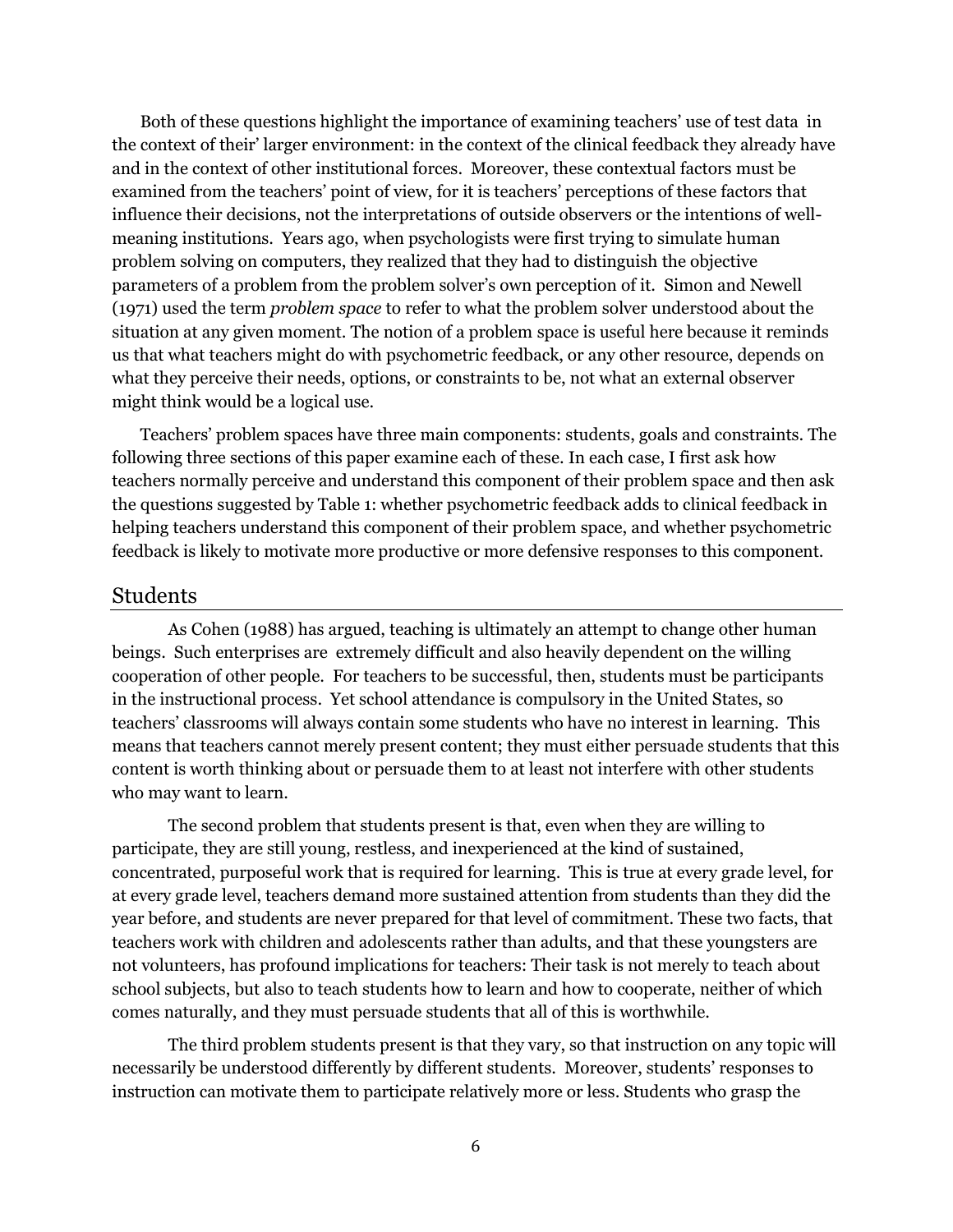Both of these questions highlight the importance of examining teachers' use of test data in the context of their' larger environment: in the context of the clinical feedback they already have and in the context of other institutional forces. Moreover, these contextual factors must be examined from the teachers' point of view, for it is teachers' perceptions of these factors that influence their decisions, not the interpretations of outside observers or the intentions of wellmeaning institutions. Years ago, when psychologists were first trying to simulate human problem solving on computers, they realized that they had to distinguish the objective parameters of a problem from the problem solver's own perception of it. [Simon and Newell](#page-22-0)  [\(1971\)](#page-22-0) used the term *problem space* to refer to what the problem solver understood about the situation at any given moment. The notion of a problem space is useful here because it reminds us that what teachers might do with psychometric feedback, or any other resource, depends on what they perceive their needs, options, or constraints to be, not what an external observer might think would be a logical use.

Teachers' problem spaces have three main components: students, goals and constraints. The following three sections of this paper examine each of these. In each case, I first ask how teachers normally perceive and understand this component of their problem space and then ask the questions suggested by Table 1: whether psychometric feedback adds to clinical feedback in helping teachers understand this component of their problem space, and whether psychometric feedback is likely to motivate more productive or more defensive responses to this component.

#### Students

As [Cohen \(1988\)](#page-19-1) has argued, teaching is ultimately an attempt to change other human beings. Such enterprises are extremely difficult and also heavily dependent on the willing cooperation of other people. For teachers to be successful, then, students must be participants in the instructional process. Yet school attendance is compulsory in the United States, so teachers' classrooms will always contain some students who have no interest in learning. This means that teachers cannot merely present content; they must either persuade students that this content is worth thinking about or persuade them to at least not interfere with other students who may want to learn.

The second problem that students present is that, even when they are willing to participate, they are still young, restless, and inexperienced at the kind of sustained, concentrated, purposeful work that is required for learning. This is true at every grade level, for at every grade level, teachers demand more sustained attention from students than they did the year before, and students are never prepared for that level of commitment. These two facts, that teachers work with children and adolescents rather than adults, and that these youngsters are not volunteers, has profound implications for teachers: Their task is not merely to teach about school subjects, but also to teach students how to learn and how to cooperate, neither of which comes naturally, and they must persuade students that all of this is worthwhile.

The third problem students present is that they vary, so that instruction on any topic will necessarily be understood differently by different students. Moreover, students' responses to instruction can motivate them to participate relatively more or less. Students who grasp the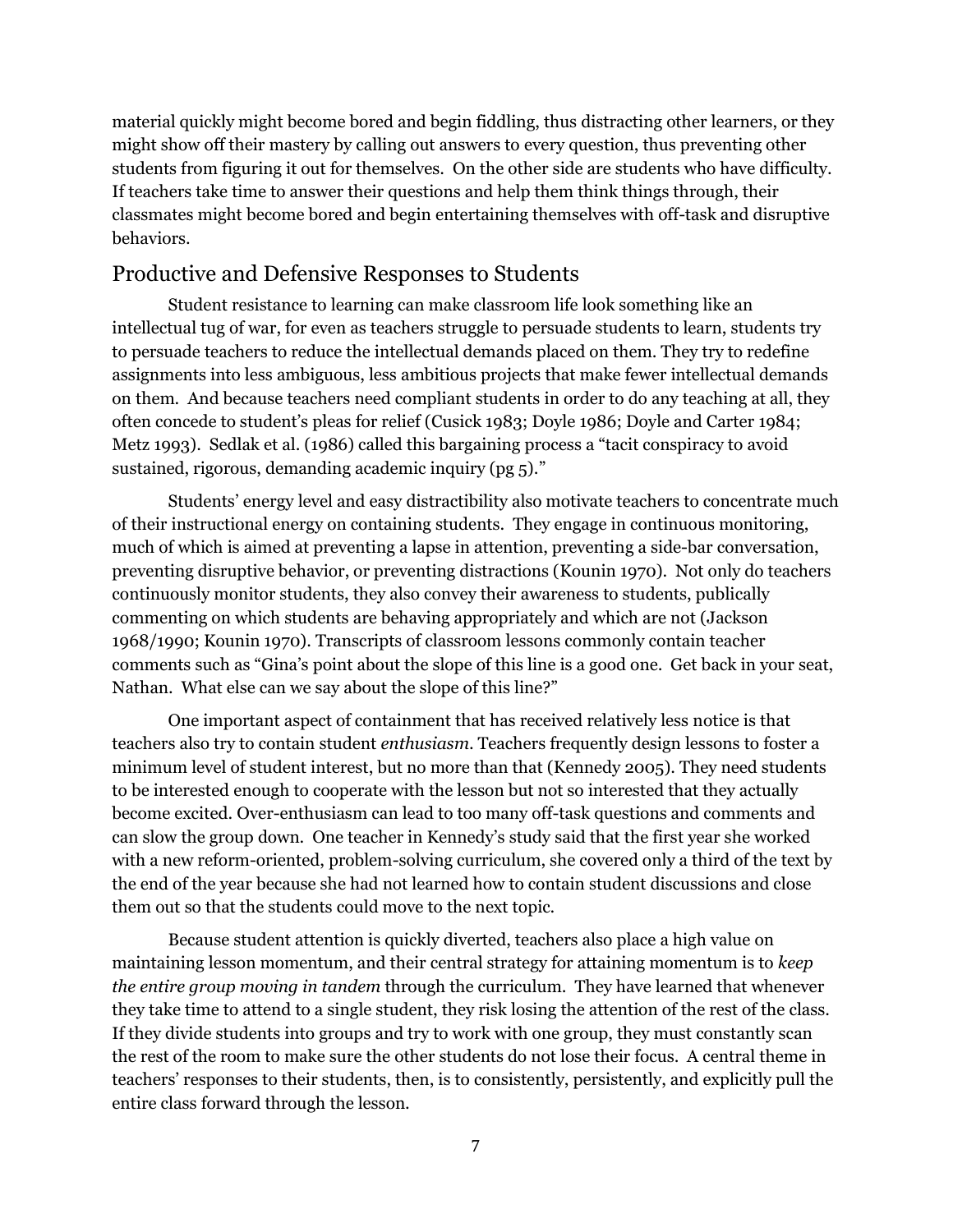material quickly might become bored and begin fiddling, thus distracting other learners, or they might show off their mastery by calling out answers to every question, thus preventing other students from figuring it out for themselves. On the other side are students who have difficulty. If teachers take time to answer their questions and help them think things through, their classmates might become bored and begin entertaining themselves with off-task and disruptive behaviors.

## Productive and Defensive Responses to Students

Student resistance to learning can make classroom life look something like an intellectual tug of war, for even as teachers struggle to persuade students to learn, students try to persuade teachers to reduce the intellectual demands placed on them. They try to redefine assignments into less ambiguous, less ambitious projects that make fewer intellectual demands on them. And because teachers need compliant students in order to do any teaching at all, they often concede to student's pleas for relief ([Cusick 1983;](#page-19-2) [Doyle 1986;](#page-19-3) [Doyle and Carter 1984;](#page-20-2) [Metz 1993](#page-21-3)). Sedlak et al. (1986) called this bargaining process a "tacit conspiracy to avoid sustained, rigorous, demanding academic inquiry (pg 5)."

Students' energy level and easy distractibility also motivate teachers to concentrate much of their instructional energy on containing students. They engage in continuous monitoring, much of which is aimed at preventing a lapse in attention, preventing a side-bar conversation, preventing disruptive behavior, or preventing distractions [\(Kounin 1970\)](#page-21-4). Not only do teachers continuously monitor students, they also convey their awareness to students, publically commenting on which students are behaving appropriately and which are not [\(Jackson](#page-20-3)  [1968/1990;](#page-20-3) [Kounin 1970\)](#page-21-4). Transcripts of classroom lessons commonly contain teacher comments such as "Gina's point about the slope of this line is a good one. Get back in your seat, Nathan. What else can we say about the slope of this line?"

One important aspect of containment that has received relatively less notice is that teachers also try to contain student *enthusiasm*. Teachers frequently design lessons to foster a minimum level of student interest, but no more than that [\(Kennedy 2005\)](#page-20-4). They need students to be interested enough to cooperate with the lesson but not so interested that they actually become excited. Over-enthusiasm can lead to too many off-task questions and comments and can slow the group down. One teacher in Kennedy's study said that the first year she worked with a new reform-oriented, problem-solving curriculum, she covered only a third of the text by the end of the year because she had not learned how to contain student discussions and close them out so that the students could move to the next topic.

Because student attention is quickly diverted, teachers also place a high value on maintaining lesson momentum, and their central strategy for attaining momentum is to *keep the entire group moving in tandem* through the curriculum. They have learned that whenever they take time to attend to a single student, they risk losing the attention of the rest of the class. If they divide students into groups and try to work with one group, they must constantly scan the rest of the room to make sure the other students do not lose their focus. A central theme in teachers' responses to their students, then, is to consistently, persistently, and explicitly pull the entire class forward through the lesson.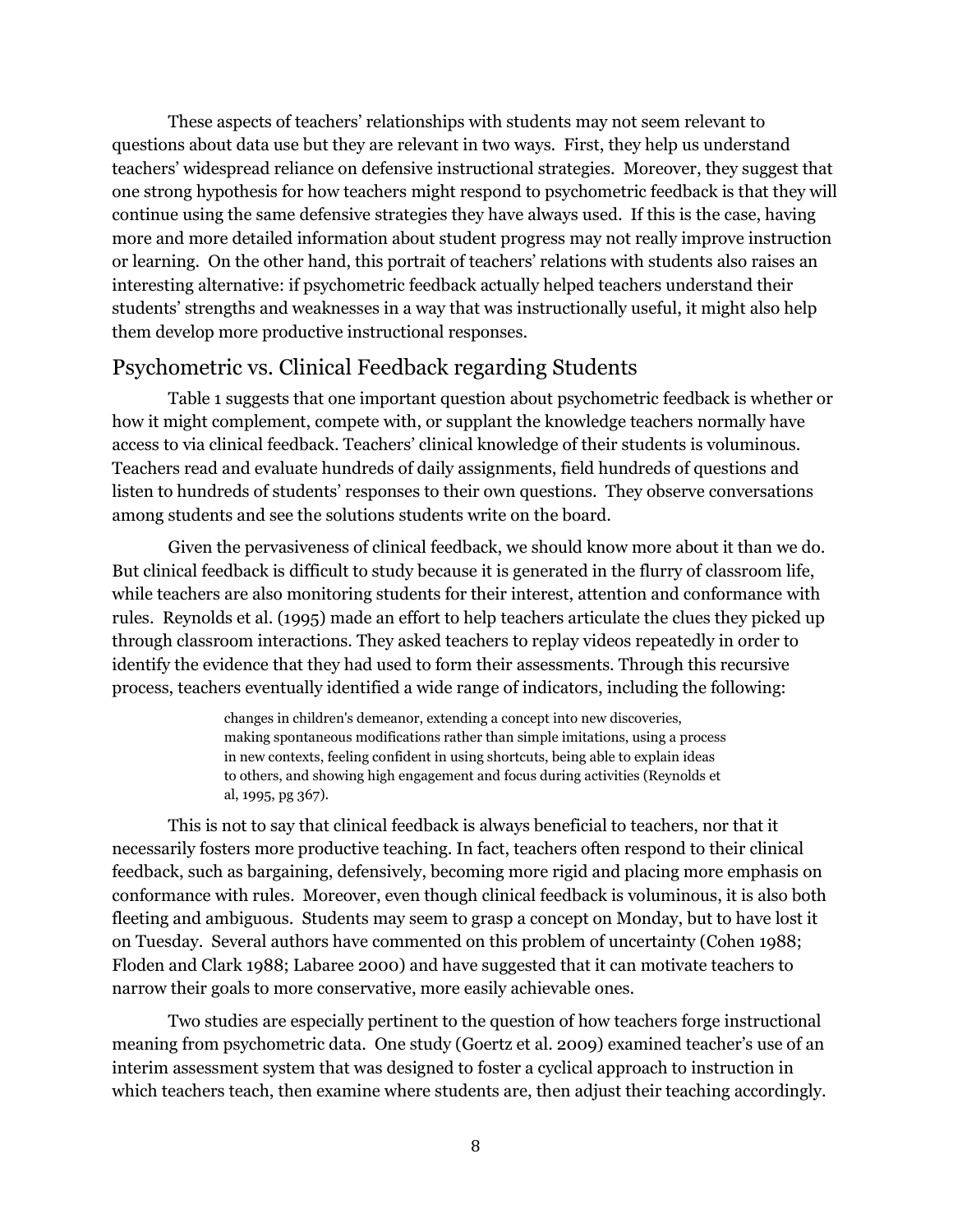These aspects of teachers' relationships with students may not seem relevant to questions about data use but they are relevant in two ways. First, they help us understand teachers' widespread reliance on defensive instructional strategies. Moreover, they suggest that one strong hypothesis for how teachers might respond to psychometric feedback is that they will continue using the same defensive strategies they have always used. If this is the case, having more and more detailed information about student progress may not really improve instruction or learning. On the other hand, this portrait of teachers' relations with students also raises an interesting alternative: if psychometric feedback actually helped teachers understand their students' strengths and weaknesses in a way that was instructionally useful, it might also help them develop more productive instructional responses.

# Psychometric vs. Clinical Feedback regarding Students

Table 1 suggests that one important question about psychometric feedback is whether or how it might complement, compete with, or supplant the knowledge teachers normally have access to via clinical feedback. Teachers' clinical knowledge of their students is voluminous. Teachers read and evaluate hundreds of daily assignments, field hundreds of questions and listen to hundreds of students' responses to their own questions. They observe conversations among students and see the solutions students write on the board.

Given the pervasiveness of clinical feedback, we should know more about it than we do. But clinical feedback is difficult to study because it is generated in the flurry of classroom life, while teachers are also monitoring students for their interest, attention and conformance with rules. [Reynolds et al. \(1995\)](#page-21-5) made an effort to help teachers articulate the clues they picked up through classroom interactions. They asked teachers to replay videos repeatedly in order to identify the evidence that they had used to form their assessments. Through this recursive process, teachers eventually identified a wide range of indicators, including the following:

> changes in children's demeanor, extending a concept into new discoveries, making spontaneous modifications rather than simple imitations, using a process in new contexts, feeling confident in using shortcuts, being able to explain ideas to others, and showing high engagement and focus during activities (Reynolds et al, 1995, pg 367).

This is not to say that clinical feedback is always beneficial to teachers, nor that it necessarily fosters more productive teaching. In fact, teachers often respond to their clinical feedback, such as bargaining, defensively, becoming more rigid and placing more emphasis on conformance with rules. Moreover, even though clinical feedback is voluminous, it is also both fleeting and ambiguous. Students may seem to grasp a concept on Monday, but to have lost it on Tuesday. Several authors have commented on this problem of uncertainty [\(Cohen 1988;](#page-19-1) [Floden and Clark 1988;](#page-20-5) [Labaree 2000\)](#page-21-6) and have suggested that it can motivate teachers to narrow their goals to more conservative, more easily achievable ones.

Two studies are especially pertinent to the question of how teachers forge instructional meaning from psychometric data. One study [\(Goertz et al. 2009](#page-20-6)) examined teacher's use of an interim assessment system that was designed to foster a cyclical approach to instruction in which teachers teach, then examine where students are, then adjust their teaching accordingly.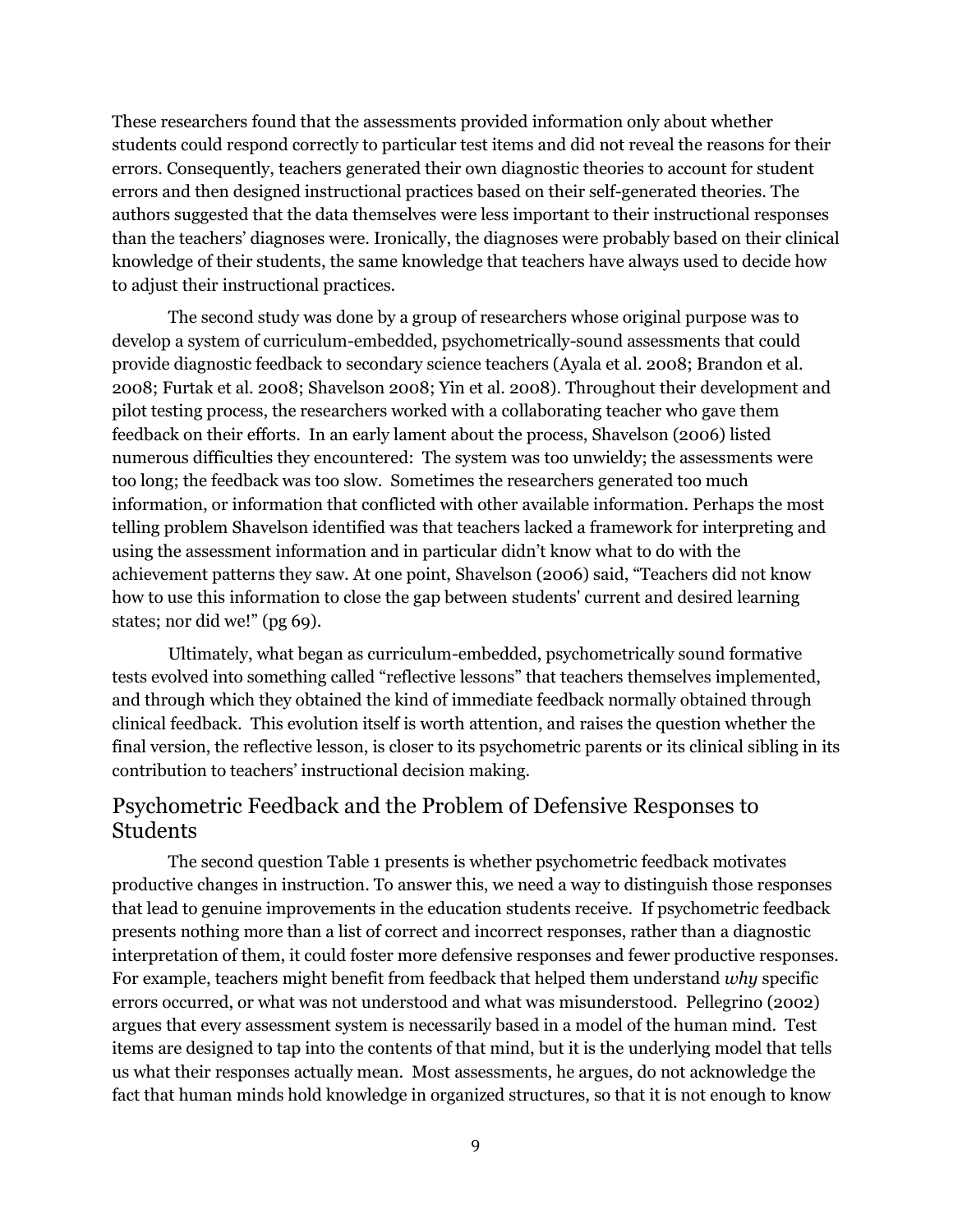These researchers found that the assessments provided information only about whether students could respond correctly to particular test items and did not reveal the reasons for their errors. Consequently, teachers generated their own diagnostic theories to account for student errors and then designed instructional practices based on their self-generated theories. The authors suggested that the data themselves were less important to their instructional responses than the teachers' diagnoses were. Ironically, the diagnoses were probably based on their clinical knowledge of their students, the same knowledge that teachers have always used to decide how to adjust their instructional practices.

The second study was done by a group of researchers whose original purpose was to develop a system of curriculum-embedded, psychometrically-sound assessments that could provide diagnostic feedback to secondary science teachers [\(Ayala et al. 2008;](#page-19-4) [Brandon et al.](#page-19-5)  [2008;](#page-19-5) [Furtak et al. 2008;](#page-20-7) [Shavelson 2008;](#page-22-1) [Yin et al. 2008\)](#page-22-2). Throughout their development and pilot testing process, the researchers worked with a collaborating teacher who gave them feedback on their efforts. In an early lament about the process, Shavelson (2006) listed numerous difficulties they encountered: The system was too unwieldy; the assessments were too long; the feedback was too slow. Sometimes the researchers generated too much information, or information that conflicted with other available information. Perhaps the most telling problem Shavelson identified was that teachers lacked a framework for interpreting and using the assessment information and in particular didn't know what to do with the achievement patterns they saw. At one point, [Shavelson \(2006](#page-22-3)) said, "Teachers did not know how to use this information to close the gap between students' current and desired learning states; nor did we!" (pg 69).

Ultimately, what began as curriculum-embedded, psychometrically sound formative tests evolved into something called "reflective lessons" that teachers themselves implemented, and through which they obtained the kind of immediate feedback normally obtained through clinical feedback. This evolution itself is worth attention, and raises the question whether the final version, the reflective lesson, is closer to its psychometric parents or its clinical sibling in its contribution to teachers' instructional decision making.

# Psychometric Feedback and the Problem of Defensive Responses to Students

The second question Table 1 presents is whether psychometric feedback motivates productive changes in instruction. To answer this, we need a way to distinguish those responses that lead to genuine improvements in the education students receive. If psychometric feedback presents nothing more than a list of correct and incorrect responses, rather than a diagnostic interpretation of them, it could foster more defensive responses and fewer productive responses. For example, teachers might benefit from feedback that helped them understand *why* specific errors occurred, or what was not understood and what was misunderstood. [Pellegrino \(2002\)](#page-21-7) argues that every assessment system is necessarily based in a model of the human mind. Test items are designed to tap into the contents of that mind, but it is the underlying model that tells us what their responses actually mean. Most assessments, he argues, do not acknowledge the fact that human minds hold knowledge in organized structures, so that it is not enough to know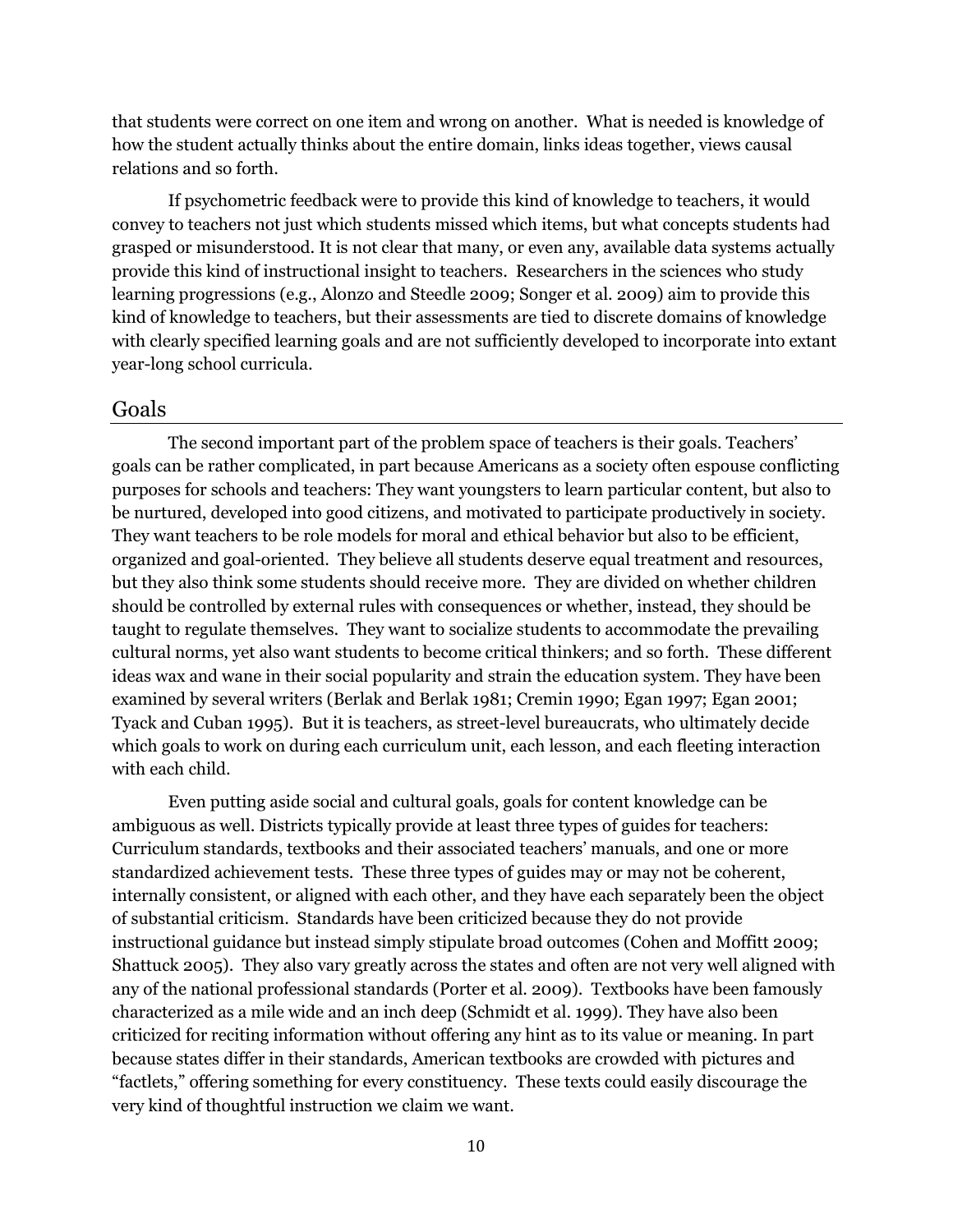that students were correct on one item and wrong on another. What is needed is knowledge of how the student actually thinks about the entire domain, links ideas together, views causal relations and so forth.

If psychometric feedback were to provide this kind of knowledge to teachers, it would convey to teachers not just which students missed which items, but what concepts students had grasped or misunderstood. It is not clear that many, or even any, available data systems actually provide this kind of instructional insight to teachers. Researchers in the sciences who study learning progressions (e.g., [Alonzo and Steedle 2009;](#page-19-6) [Songer et al. 2009\)](#page-22-4) aim to provide this kind of knowledge to teachers, but their assessments are tied to discrete domains of knowledge with clearly specified learning goals and are not sufficiently developed to incorporate into extant year-long school curricula.

#### Goals

The second important part of the problem space of teachers is their goals. Teachers' goals can be rather complicated, in part because Americans as a society often espouse conflicting purposes for schools and teachers: They want youngsters to learn particular content, but also to be nurtured, developed into good citizens, and motivated to participate productively in society. They want teachers to be role models for moral and ethical behavior but also to be efficient, organized and goal-oriented. They believe all students deserve equal treatment and resources, but they also think some students should receive more. They are divided on whether children should be controlled by external rules with consequences or whether, instead, they should be taught to regulate themselves. They want to socialize students to accommodate the prevailing cultural norms, yet also want students to become critical thinkers; and so forth. These different ideas wax and wane in their social popularity and strain the education system. They have been examined by several writers [\(Berlak and Berlak 1981;](#page-19-7) [Cremin 1990;](#page-19-8) [Egan 1997;](#page-20-8) [Egan 2001;](#page-20-9) [Tyack and Cuban 1995\)](#page-22-5). But it is teachers, as street-level bureaucrats, who ultimately decide which goals to work on during each curriculum unit, each lesson, and each fleeting interaction with each child.

Even putting aside social and cultural goals, goals for content knowledge can be ambiguous as well. Districts typically provide at least three types of guides for teachers: Curriculum standards, textbooks and their associated teachers' manuals, and one or more standardized achievement tests. These three types of guides may or may not be coherent, internally consistent, or aligned with each other, and they have each separately been the object of substantial criticism. Standards have been criticized because they do not provide instructional guidance but instead simply stipulate broad outcomes [\(Cohen and Moffitt 2009;](#page-19-9) [Shattuck 2005\)](#page-21-8). They also vary greatly across the states and often are not very well aligned with any of the national professional standards [\(Porter et al. 2009\)](#page-21-9). Textbooks have been famously characterized as a mile wide and an inch deep [\(Schmidt et al. 1999\)](#page-21-10). They have also been criticized for reciting information without offering any hint as to its value or meaning. In part because states differ in their standards, American textbooks are crowded with pictures and ―factlets,‖ offering something for every constituency. These texts could easily discourage the very kind of thoughtful instruction we claim we want.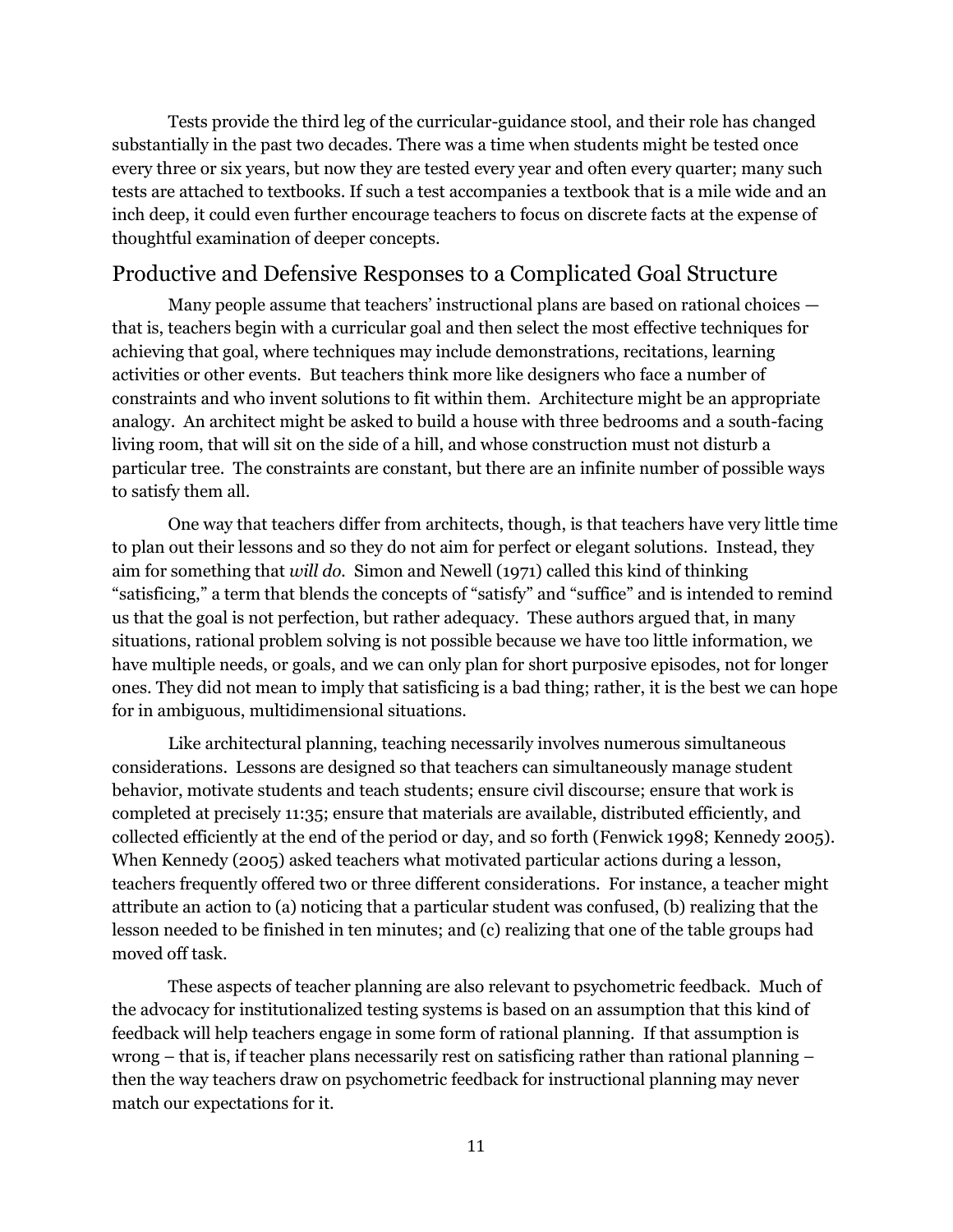Tests provide the third leg of the curricular-guidance stool, and their role has changed substantially in the past two decades. There was a time when students might be tested once every three or six years, but now they are tested every year and often every quarter; many such tests are attached to textbooks. If such a test accompanies a textbook that is a mile wide and an inch deep, it could even further encourage teachers to focus on discrete facts at the expense of thoughtful examination of deeper concepts.

# Productive and Defensive Responses to a Complicated Goal Structure

Many people assume that teachers' instructional plans are based on rational choices that is, teachers begin with a curricular goal and then select the most effective techniques for achieving that goal, where techniques may include demonstrations, recitations, learning activities or other events. But teachers think more like designers who face a number of constraints and who invent solutions to fit within them. Architecture might be an appropriate analogy. An architect might be asked to build a house with three bedrooms and a south-facing living room, that will sit on the side of a hill, and whose construction must not disturb a particular tree. The constraints are constant, but there are an infinite number of possible ways to satisfy them all.

One way that teachers differ from architects, though, is that teachers have very little time to plan out their lessons and so they do not aim for perfect or elegant solutions. Instead, they aim for something that *will do.* [Simon and Newell \(1971\)](#page-22-0) called this kind of thinking "satisficing," a term that blends the concepts of "satisfy" and "suffice" and is intended to remind us that the goal is not perfection, but rather adequacy. These authors argued that, in many situations, rational problem solving is not possible because we have too little information, we have multiple needs, or goals, and we can only plan for short purposive episodes, not for longer ones. They did not mean to imply that satisficing is a bad thing; rather, it is the best we can hope for in ambiguous, multidimensional situations.

Like architectural planning, teaching necessarily involves numerous simultaneous considerations. Lessons are designed so that teachers can simultaneously manage student behavior, motivate students and teach students; ensure civil discourse; ensure that work is completed at precisely 11:35; ensure that materials are available, distributed efficiently, and collected efficiently at the end of the period or day, and so forth [\(Fenwick 1998;](#page-20-10) [Kennedy 2005\)](#page-20-4). When Kennedy (2005) asked teachers what motivated particular actions during a lesson, teachers frequently offered two or three different considerations. For instance, a teacher might attribute an action to (a) noticing that a particular student was confused, (b) realizing that the lesson needed to be finished in ten minutes; and (c) realizing that one of the table groups had moved off task.

These aspects of teacher planning are also relevant to psychometric feedback. Much of the advocacy for institutionalized testing systems is based on an assumption that this kind of feedback will help teachers engage in some form of rational planning. If that assumption is wrong – that is, if teacher plans necessarily rest on satisficing rather than rational planning – then the way teachers draw on psychometric feedback for instructional planning may never match our expectations for it.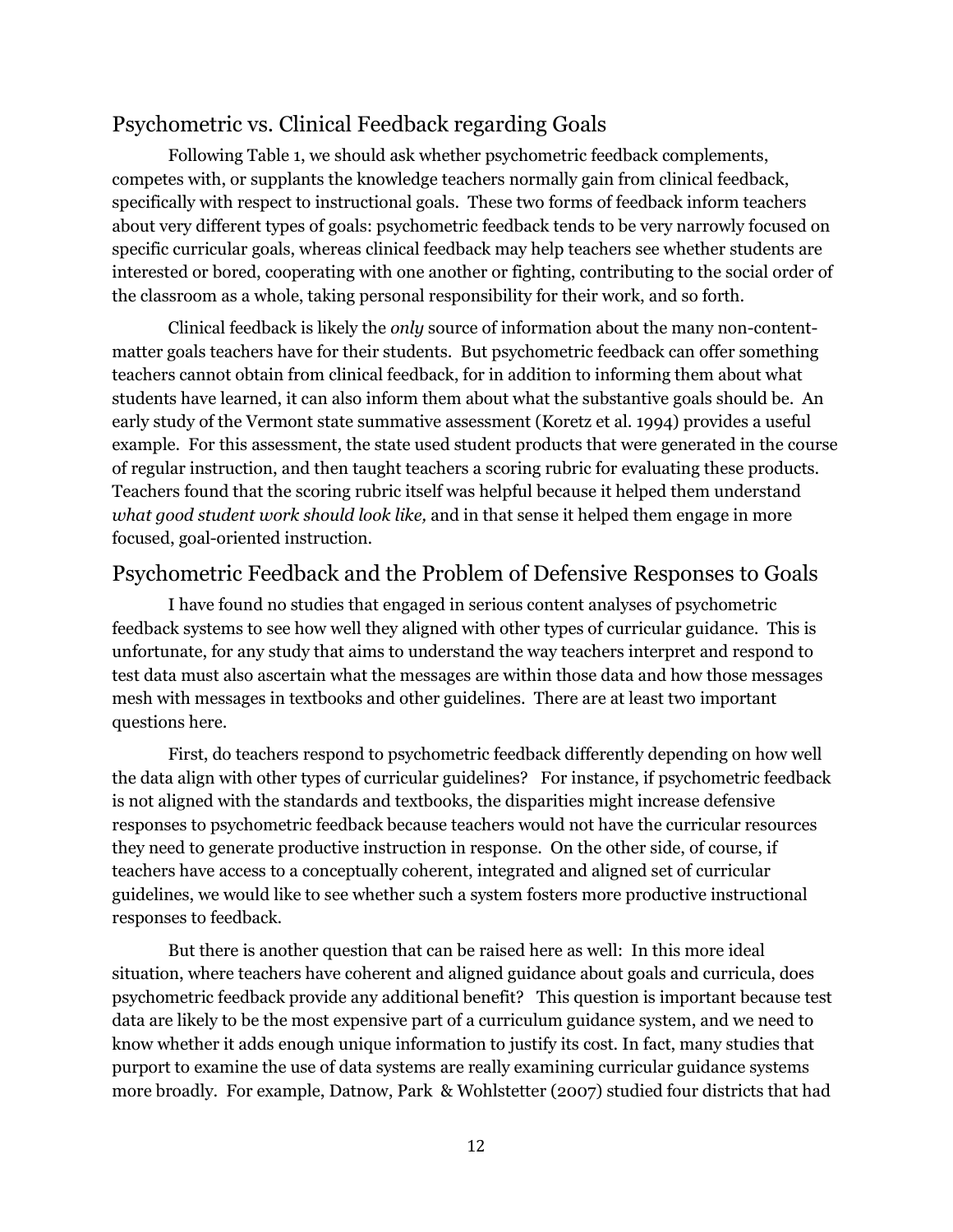# Psychometric vs. Clinical Feedback regarding Goals

Following Table 1, we should ask whether psychometric feedback complements, competes with, or supplants the knowledge teachers normally gain from clinical feedback, specifically with respect to instructional goals. These two forms of feedback inform teachers about very different types of goals: psychometric feedback tends to be very narrowly focused on specific curricular goals, whereas clinical feedback may help teachers see whether students are interested or bored, cooperating with one another or fighting, contributing to the social order of the classroom as a whole, taking personal responsibility for their work, and so forth.

Clinical feedback is likely the *only* source of information about the many non-contentmatter goals teachers have for their students. But psychometric feedback can offer something teachers cannot obtain from clinical feedback, for in addition to informing them about what students have learned, it can also inform them about what the substantive goals should be. An early study of the Vermont state summative assessment [\(Koretz et al. 1994\)](#page-21-11) provides a useful example. For this assessment, the state used student products that were generated in the course of regular instruction, and then taught teachers a scoring rubric for evaluating these products. Teachers found that the scoring rubric itself was helpful because it helped them understand *what good student work should look like,* and in that sense it helped them engage in more focused, goal-oriented instruction.

### Psychometric Feedback and the Problem of Defensive Responses to Goals

I have found no studies that engaged in serious content analyses of psychometric feedback systems to see how well they aligned with other types of curricular guidance. This is unfortunate, for any study that aims to understand the way teachers interpret and respond to test data must also ascertain what the messages are within those data and how those messages mesh with messages in textbooks and other guidelines. There are at least two important questions here.

First, do teachers respond to psychometric feedback differently depending on how well the data align with other types of curricular guidelines? For instance, if psychometric feedback is not aligned with the standards and textbooks, the disparities might increase defensive responses to psychometric feedback because teachers would not have the curricular resources they need to generate productive instruction in response. On the other side, of course, if teachers have access to a conceptually coherent, integrated and aligned set of curricular guidelines, we would like to see whether such a system fosters more productive instructional responses to feedback.

But there is another question that can be raised here as well: In this more ideal situation, where teachers have coherent and aligned guidance about goals and curricula, does psychometric feedback provide any additional benefit? This question is important because test data are likely to be the most expensive part of a curriculum guidance system, and we need to know whether it adds enough unique information to justify its cost. In fact, many studies that purport to examine the use of data systems are really examining curricular guidance systems more broadly. For example, Datnow, Park & Wohlstetter (2007) studied four districts that had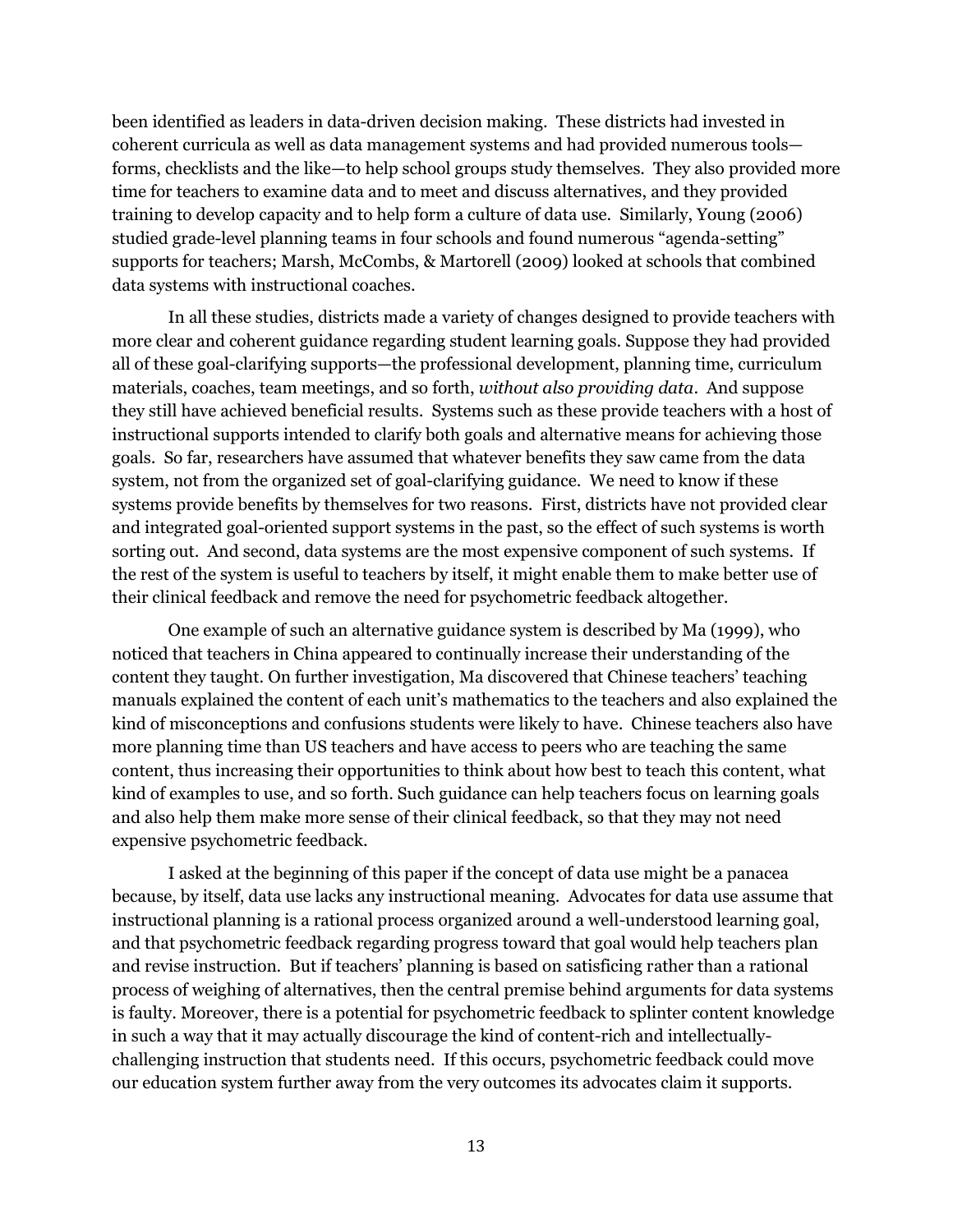been identified as leaders in data-driven decision making. These districts had invested in coherent curricula as well as data management systems and had provided numerous tools forms, checklists and the like—to help school groups study themselves. They also provided more time for teachers to examine data and to meet and discuss alternatives, and they provided training to develop capacity and to help form a culture of data use. Similarly, Young (2006) studied grade-level planning teams in four schools and found numerous "agenda-setting" supports for teachers; Marsh, McCombs, & Martorell (2009) looked at schools that combined data systems with instructional coaches.

In all these studies, districts made a variety of changes designed to provide teachers with more clear and coherent guidance regarding student learning goals. Suppose they had provided all of these goal-clarifying supports—the professional development, planning time, curriculum materials, coaches, team meetings, and so forth, *without also providing data*. And suppose they still have achieved beneficial results. Systems such as these provide teachers with a host of instructional supports intended to clarify both goals and alternative means for achieving those goals. So far, researchers have assumed that whatever benefits they saw came from the data system, not from the organized set of goal-clarifying guidance. We need to know if these systems provide benefits by themselves for two reasons. First, districts have not provided clear and integrated goal-oriented support systems in the past, so the effect of such systems is worth sorting out. And second, data systems are the most expensive component of such systems. If the rest of the system is useful to teachers by itself, it might enable them to make better use of their clinical feedback and remove the need for psychometric feedback altogether.

One example of such an alternative guidance system is described by Ma (1999), who noticed that teachers in China appeared to continually increase their understanding of the content they taught. On further investigation, Ma discovered that Chinese teachers' teaching manuals explained the content of each unit's mathematics to the teachers and also explained the kind of misconceptions and confusions students were likely to have. Chinese teachers also have more planning time than US teachers and have access to peers who are teaching the same content, thus increasing their opportunities to think about how best to teach this content, what kind of examples to use, and so forth. Such guidance can help teachers focus on learning goals and also help them make more sense of their clinical feedback, so that they may not need expensive psychometric feedback.

I asked at the beginning of this paper if the concept of data use might be a panacea because, by itself, data use lacks any instructional meaning. Advocates for data use assume that instructional planning is a rational process organized around a well-understood learning goal, and that psychometric feedback regarding progress toward that goal would help teachers plan and revise instruction. But if teachers' planning is based on satisficing rather than a rational process of weighing of alternatives, then the central premise behind arguments for data systems is faulty. Moreover, there is a potential for psychometric feedback to splinter content knowledge in such a way that it may actually discourage the kind of content-rich and intellectuallychallenging instruction that students need. If this occurs, psychometric feedback could move our education system further away from the very outcomes its advocates claim it supports.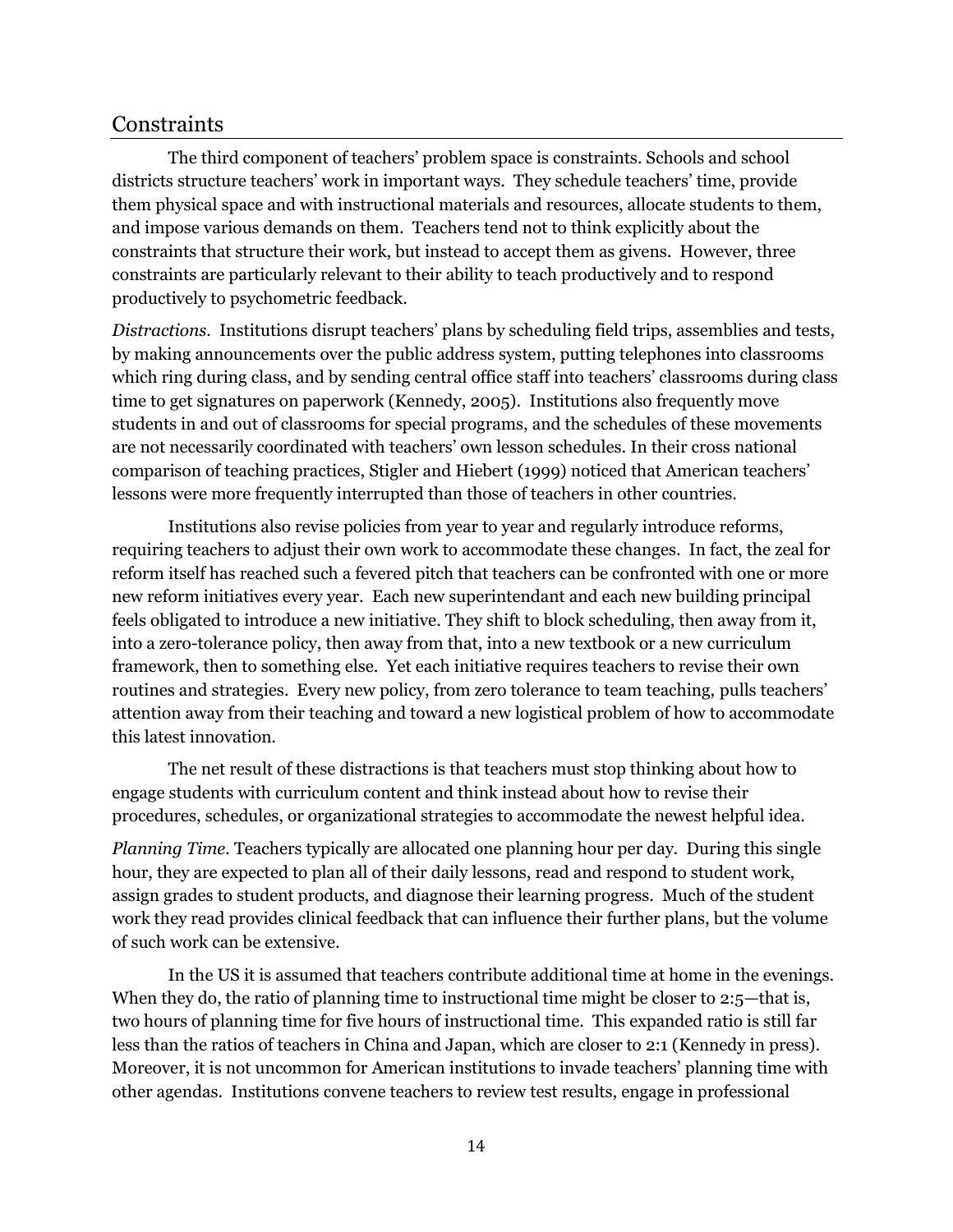### **Constraints**

The third component of teachers' problem space is constraints. Schools and school districts structure teachers' work in important ways. They schedule teachers' time, provide them physical space and with instructional materials and resources, allocate students to them, and impose various demands on them. Teachers tend not to think explicitly about the constraints that structure their work, but instead to accept them as givens. However, three constraints are particularly relevant to their ability to teach productively and to respond productively to psychometric feedback.

*Distractions.* Institutions disrupt teachers' plans by scheduling field trips, assemblies and tests, by making announcements over the public address system, putting telephones into classrooms which ring during class, and by sending central office staff into teachers' classrooms during class time to get signatures on paperwork (Kennedy, 2005). Institutions also frequently move students in and out of classrooms for special programs, and the schedules of these movements are not necessarily coordinated with teachers' own lesson schedules. In their cross national comparison of teaching practices, Stigler and Hiebert (1999) noticed that American teachers' lessons were more frequently interrupted than those of teachers in other countries.

Institutions also revise policies from year to year and regularly introduce reforms, requiring teachers to adjust their own work to accommodate these changes. In fact, the zeal for reform itself has reached such a fevered pitch that teachers can be confronted with one or more new reform initiatives every year. Each new superintendant and each new building principal feels obligated to introduce a new initiative. They shift to block scheduling, then away from it, into a zero-tolerance policy, then away from that, into a new textbook or a new curriculum framework, then to something else. Yet each initiative requires teachers to revise their own routines and strategies. Every new policy, from zero tolerance to team teaching, pulls teachers' attention away from their teaching and toward a new logistical problem of how to accommodate this latest innovation.

The net result of these distractions is that teachers must stop thinking about how to engage students with curriculum content and think instead about how to revise their procedures, schedules, or organizational strategies to accommodate the newest helpful idea.

*Planning Time.* Teachers typically are allocated one planning hour per day. During this single hour, they are expected to plan all of their daily lessons, read and respond to student work, assign grades to student products, and diagnose their learning progress. Much of the student work they read provides clinical feedback that can influence their further plans, but the volume of such work can be extensive.

In the US it is assumed that teachers contribute additional time at home in the evenings. When they do, the ratio of planning time to instructional time might be closer to 2:5—that is, two hours of planning time for five hours of instructional time. This expanded ratio is still far less than the ratios of teachers in China and Japan, which are closer to 2:1 [\(Kennedy in press\)](#page-20-11). Moreover, it is not uncommon for American institutions to invade teachers' planning time with other agendas. Institutions convene teachers to review test results, engage in professional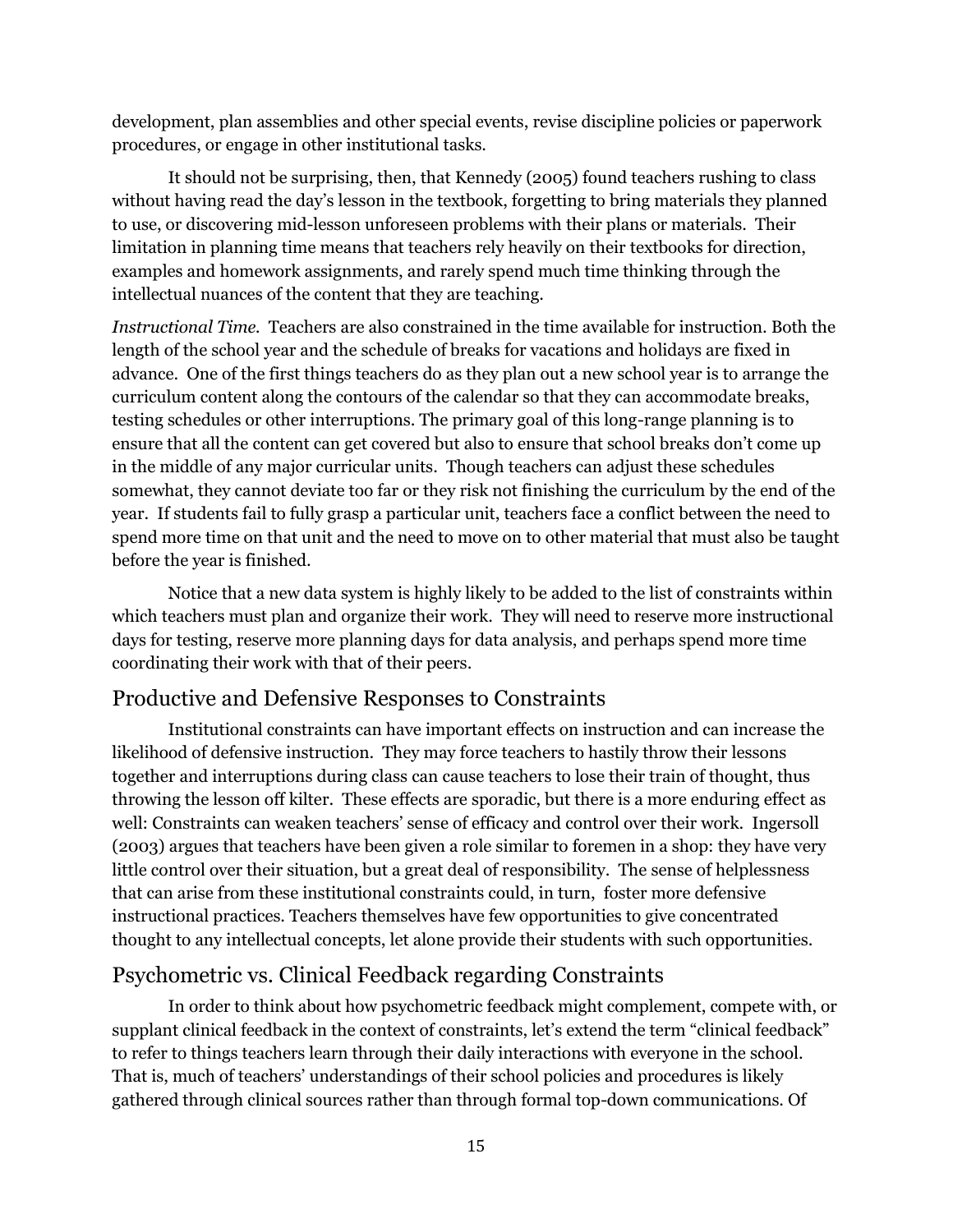development, plan assemblies and other special events, revise discipline policies or paperwork procedures, or engage in other institutional tasks.

It should not be surprising, then, that Kennedy (2005) found teachers rushing to class without having read the day's lesson in the textbook, forgetting to bring materials they planned to use, or discovering mid-lesson unforeseen problems with their plans or materials. Their limitation in planning time means that teachers rely heavily on their textbooks for direction, examples and homework assignments, and rarely spend much time thinking through the intellectual nuances of the content that they are teaching.

*Instructional Time.* Teachers are also constrained in the time available for instruction. Both the length of the school year and the schedule of breaks for vacations and holidays are fixed in advance. One of the first things teachers do as they plan out a new school year is to arrange the curriculum content along the contours of the calendar so that they can accommodate breaks, testing schedules or other interruptions. The primary goal of this long-range planning is to ensure that all the content can get covered but also to ensure that school breaks don't come up in the middle of any major curricular units. Though teachers can adjust these schedules somewhat, they cannot deviate too far or they risk not finishing the curriculum by the end of the year. If students fail to fully grasp a particular unit, teachers face a conflict between the need to spend more time on that unit and the need to move on to other material that must also be taught before the year is finished.

Notice that a new data system is highly likely to be added to the list of constraints within which teachers must plan and organize their work. They will need to reserve more instructional days for testing, reserve more planning days for data analysis, and perhaps spend more time coordinating their work with that of their peers.

# Productive and Defensive Responses to Constraints

Institutional constraints can have important effects on instruction and can increase the likelihood of defensive instruction. They may force teachers to hastily throw their lessons together and interruptions during class can cause teachers to lose their train of thought, thus throwing the lesson off kilter. These effects are sporadic, but there is a more enduring effect as well: Constraints can weaken teachers' sense of efficacy and control over their work. Ingersoll (2003) argues that teachers have been given a role similar to foremen in a shop: they have very little control over their situation, but a great deal of responsibility. The sense of helplessness that can arise from these institutional constraints could, in turn, foster more defensive instructional practices. Teachers themselves have few opportunities to give concentrated thought to any intellectual concepts, let alone provide their students with such opportunities.

# Psychometric vs. Clinical Feedback regarding Constraints

In order to think about how psychometric feedback might complement, compete with, or supplant clinical feedback in the context of constraints, let's extend the term "clinical feedback" to refer to things teachers learn through their daily interactions with everyone in the school. That is, much of teachers' understandings of their school policies and procedures is likely gathered through clinical sources rather than through formal top-down communications. Of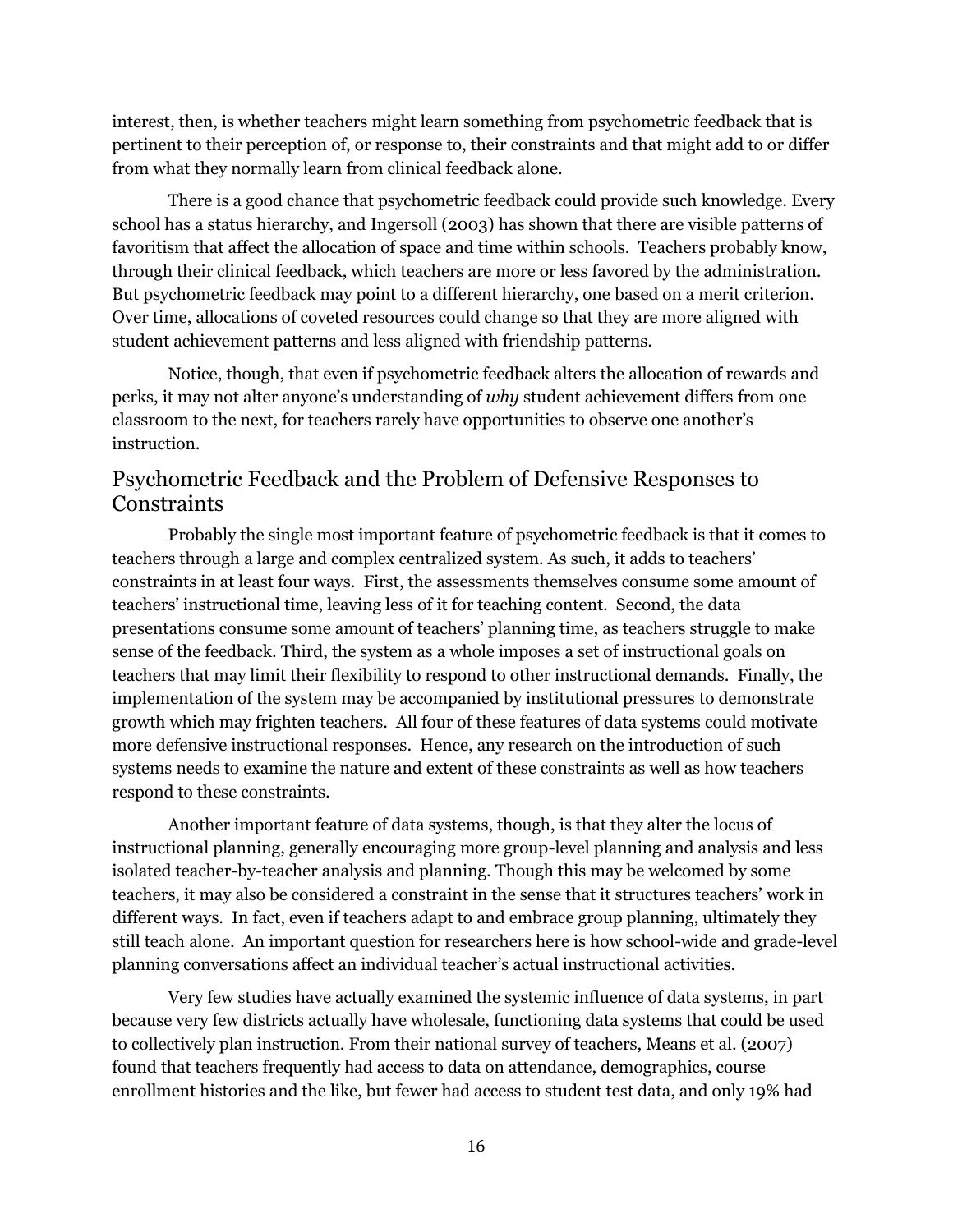interest, then, is whether teachers might learn something from psychometric feedback that is pertinent to their perception of, or response to, their constraints and that might add to or differ from what they normally learn from clinical feedback alone.

There is a good chance that psychometric feedback could provide such knowledge. Every school has a status hierarchy, and Ingersoll (2003) has shown that there are visible patterns of favoritism that affect the allocation of space and time within schools. Teachers probably know, through their clinical feedback, which teachers are more or less favored by the administration. But psychometric feedback may point to a different hierarchy, one based on a merit criterion. Over time, allocations of coveted resources could change so that they are more aligned with student achievement patterns and less aligned with friendship patterns.

Notice, though, that even if psychometric feedback alters the allocation of rewards and perks, it may not alter anyone's understanding of *why* student achievement differs from one classroom to the next, for teachers rarely have opportunities to observe one another's instruction.

# Psychometric Feedback and the Problem of Defensive Responses to **Constraints**

Probably the single most important feature of psychometric feedback is that it comes to teachers through a large and complex centralized system. As such, it adds to teachers' constraints in at least four ways. First, the assessments themselves consume some amount of teachers' instructional time, leaving less of it for teaching content. Second, the data presentations consume some amount of teachers' planning time, as teachers struggle to make sense of the feedback. Third, the system as a whole imposes a set of instructional goals on teachers that may limit their flexibility to respond to other instructional demands. Finally, the implementation of the system may be accompanied by institutional pressures to demonstrate growth which may frighten teachers. All four of these features of data systems could motivate more defensive instructional responses. Hence, any research on the introduction of such systems needs to examine the nature and extent of these constraints as well as how teachers respond to these constraints.

Another important feature of data systems, though, is that they alter the locus of instructional planning, generally encouraging more group-level planning and analysis and less isolated teacher-by-teacher analysis and planning. Though this may be welcomed by some teachers, it may also be considered a constraint in the sense that it structures teachers' work in different ways. In fact, even if teachers adapt to and embrace group planning, ultimately they still teach alone. An important question for researchers here is how school-wide and grade-level planning conversations affect an individual teacher's actual instructional activities.

Very few studies have actually examined the systemic influence of data systems, in part because very few districts actually have wholesale, functioning data systems that could be used to collectively plan instruction. From their national survey of teachers, Means et al. (2007) found that teachers frequently had access to data on attendance, demographics, course enrollment histories and the like, but fewer had access to student test data, and only 19% had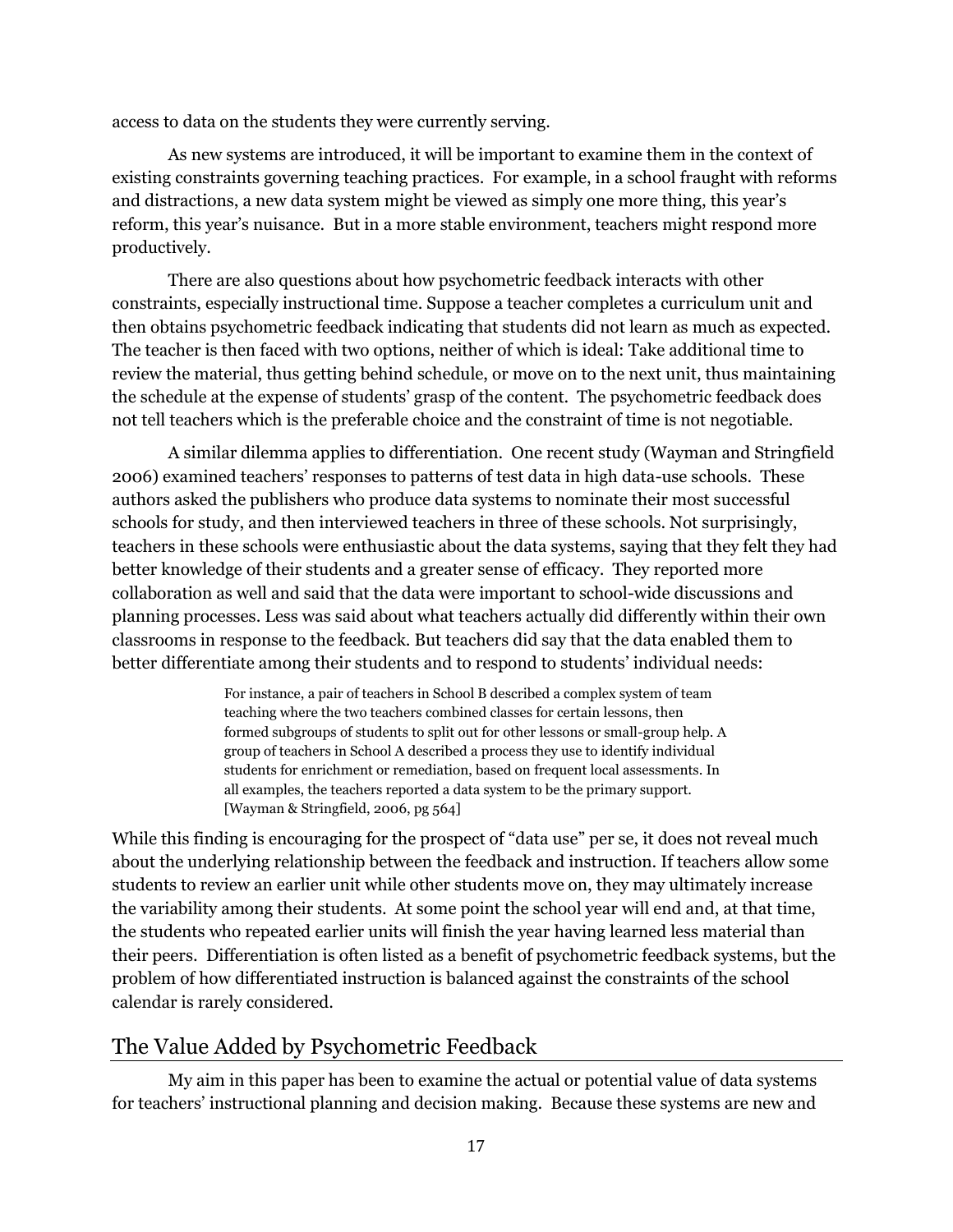access to data on the students they were currently serving.

As new systems are introduced, it will be important to examine them in the context of existing constraints governing teaching practices. For example, in a school fraught with reforms and distractions, a new data system might be viewed as simply one more thing, this year's reform, this year's nuisance. But in a more stable environment, teachers might respond more productively.

There are also questions about how psychometric feedback interacts with other constraints, especially instructional time. Suppose a teacher completes a curriculum unit and then obtains psychometric feedback indicating that students did not learn as much as expected. The teacher is then faced with two options, neither of which is ideal: Take additional time to review the material, thus getting behind schedule, or move on to the next unit, thus maintaining the schedule at the expense of students' grasp of the content. The psychometric feedback does not tell teachers which is the preferable choice and the constraint of time is not negotiable.

A similar dilemma applies to differentiation. One recent study [\(Wayman and Stringfield](#page-22-6)  [2006](#page-22-6)) examined teachers' responses to patterns of test data in high data-use schools. These authors asked the publishers who produce data systems to nominate their most successful schools for study, and then interviewed teachers in three of these schools. Not surprisingly, teachers in these schools were enthusiastic about the data systems, saying that they felt they had better knowledge of their students and a greater sense of efficacy. They reported more collaboration as well and said that the data were important to school-wide discussions and planning processes. Less was said about what teachers actually did differently within their own classrooms in response to the feedback. But teachers did say that the data enabled them to better differentiate among their students and to respond to students' individual needs:

> For instance, a pair of teachers in School B described a complex system of team teaching where the two teachers combined classes for certain lessons, then formed subgroups of students to split out for other lessons or small-group help. A group of teachers in School A described a process they use to identify individual students for enrichment or remediation, based on frequent local assessments. In all examples, the teachers reported a data system to be the primary support. [Wayman & Stringfield, 2006, pg 564]

While this finding is encouraging for the prospect of "data use" per se, it does not reveal much about the underlying relationship between the feedback and instruction. If teachers allow some students to review an earlier unit while other students move on, they may ultimately increase the variability among their students. At some point the school year will end and, at that time, the students who repeated earlier units will finish the year having learned less material than their peers. Differentiation is often listed as a benefit of psychometric feedback systems, but the problem of how differentiated instruction is balanced against the constraints of the school calendar is rarely considered.

# The Value Added by Psychometric Feedback

My aim in this paper has been to examine the actual or potential value of data systems for teachers' instructional planning and decision making. Because these systems are new and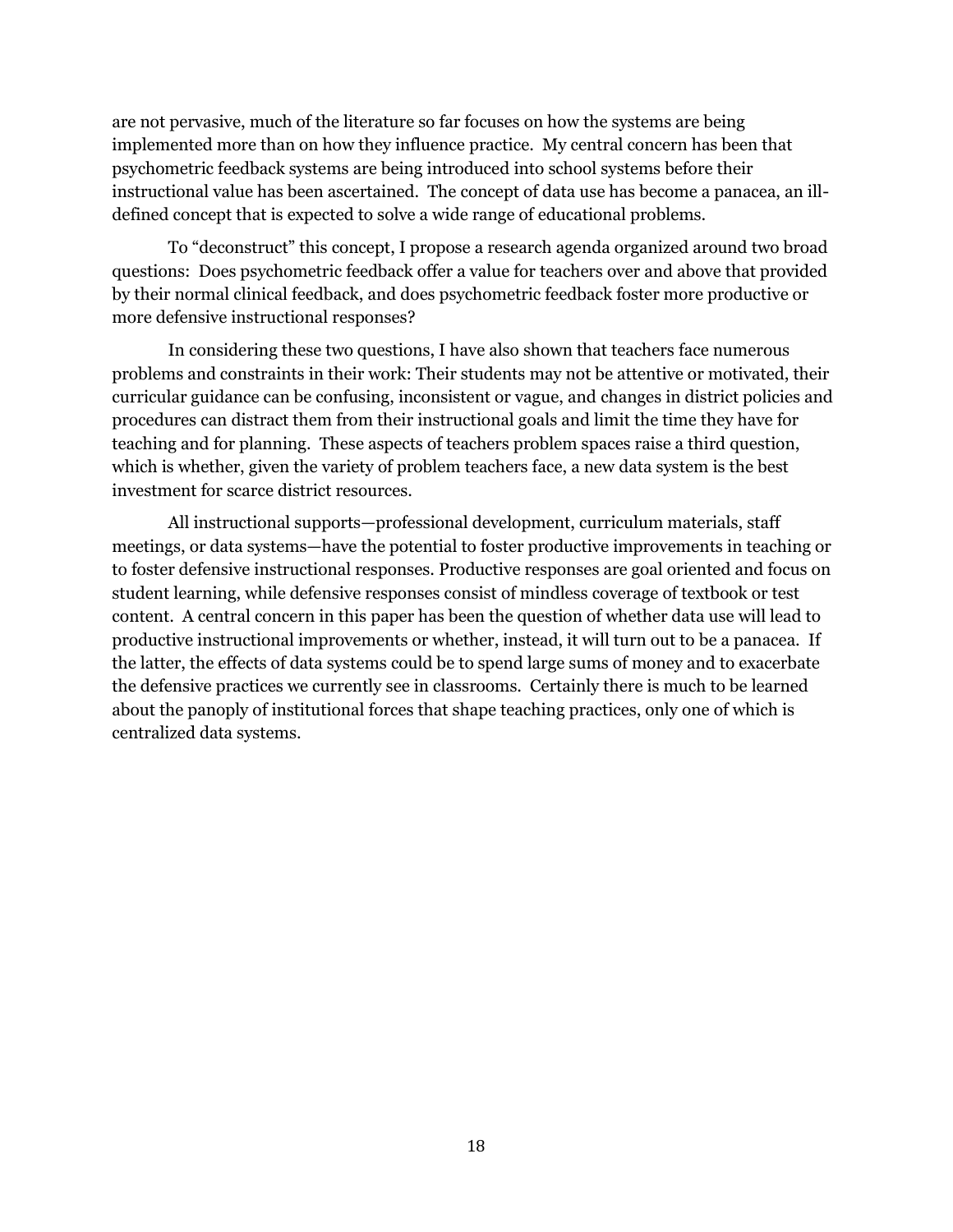are not pervasive, much of the literature so far focuses on how the systems are being implemented more than on how they influence practice. My central concern has been that psychometric feedback systems are being introduced into school systems before their instructional value has been ascertained. The concept of data use has become a panacea, an illdefined concept that is expected to solve a wide range of educational problems.

To "deconstruct" this concept, I propose a research agenda organized around two broad questions: Does psychometric feedback offer a value for teachers over and above that provided by their normal clinical feedback, and does psychometric feedback foster more productive or more defensive instructional responses?

In considering these two questions, I have also shown that teachers face numerous problems and constraints in their work: Their students may not be attentive or motivated, their curricular guidance can be confusing, inconsistent or vague, and changes in district policies and procedures can distract them from their instructional goals and limit the time they have for teaching and for planning. These aspects of teachers problem spaces raise a third question, which is whether, given the variety of problem teachers face, a new data system is the best investment for scarce district resources.

All instructional supports—professional development, curriculum materials, staff meetings, or data systems—have the potential to foster productive improvements in teaching or to foster defensive instructional responses. Productive responses are goal oriented and focus on student learning, while defensive responses consist of mindless coverage of textbook or test content. A central concern in this paper has been the question of whether data use will lead to productive instructional improvements or whether, instead, it will turn out to be a panacea. If the latter, the effects of data systems could be to spend large sums of money and to exacerbate the defensive practices we currently see in classrooms. Certainly there is much to be learned about the panoply of institutional forces that shape teaching practices, only one of which is centralized data systems.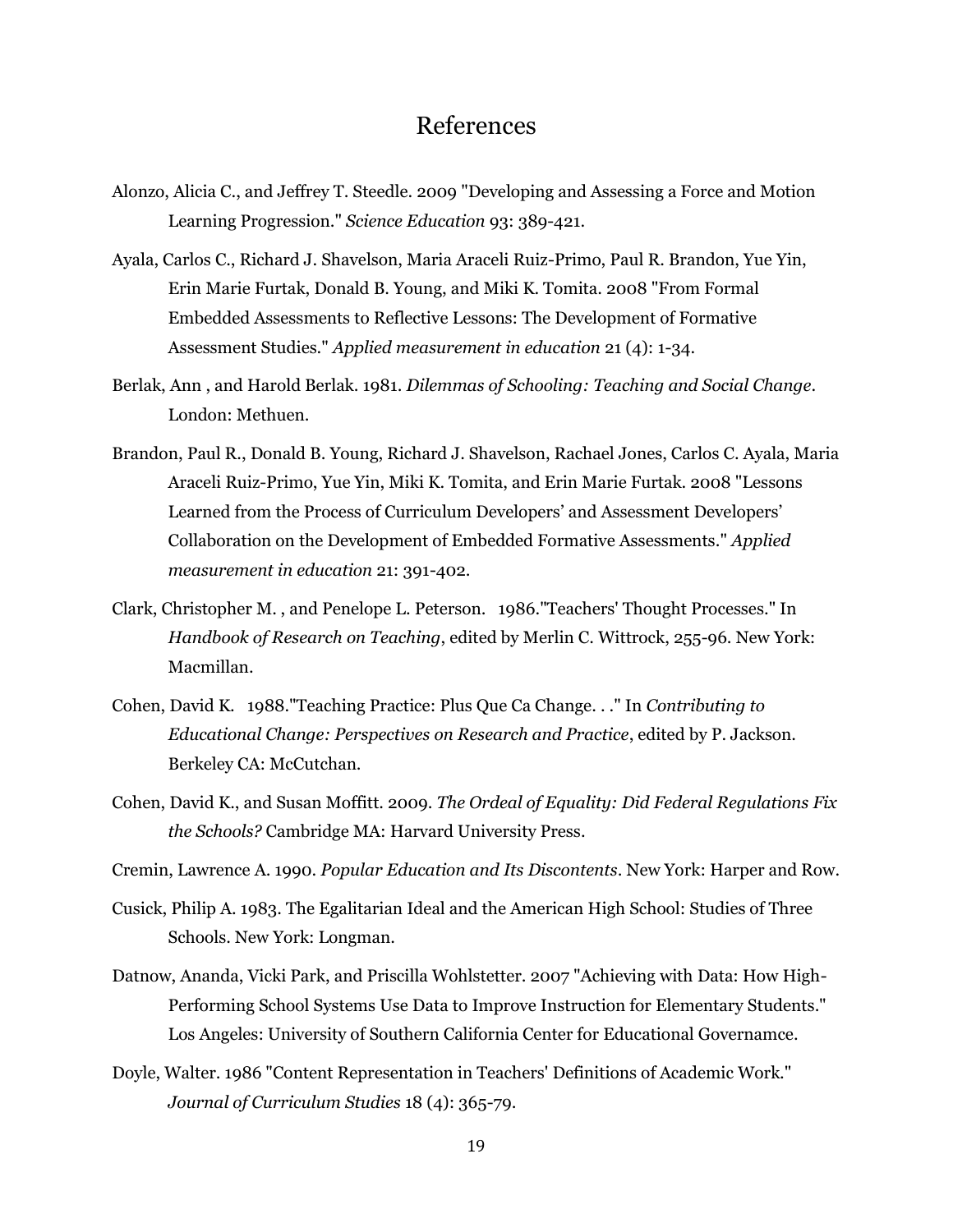# References

- <span id="page-19-6"></span>Alonzo, Alicia C., and Jeffrey T. Steedle. 2009 "Developing and Assessing a Force and Motion Learning Progression." *Science Education* 93: 389-421.
- <span id="page-19-4"></span>Ayala, Carlos C., Richard J. Shavelson, Maria Araceli Ruiz-Primo, Paul R. Brandon, Yue Yin, Erin Marie Furtak, Donald B. Young, and Miki K. Tomita. 2008 "From Formal Embedded Assessments to Reflective Lessons: The Development of Formative Assessment Studies." *Applied measurement in education* 21 (4): 1-34.
- <span id="page-19-7"></span>Berlak, Ann , and Harold Berlak. 1981. *Dilemmas of Schooling: Teaching and Social Change*. London: Methuen.
- <span id="page-19-5"></span>Brandon, Paul R., Donald B. Young, Richard J. Shavelson, Rachael Jones, Carlos C. Ayala, Maria Araceli Ruiz-Primo, Yue Yin, Miki K. Tomita, and Erin Marie Furtak. 2008 "Lessons Learned from the Process of Curriculum Developers' and Assessment Developers' Collaboration on the Development of Embedded Formative Assessments." *Applied measurement in education* 21: 391-402.
- Clark, Christopher M. , and Penelope L. Peterson. 1986."Teachers' Thought Processes." In *Handbook of Research on Teaching*, edited by Merlin C. Wittrock, 255-96. New York: Macmillan.
- <span id="page-19-1"></span>Cohen, David K. 1988."Teaching Practice: Plus Que Ca Change. . ." In *Contributing to Educational Change: Perspectives on Research and Practice*, edited by P. Jackson. Berkeley CA: McCutchan.
- <span id="page-19-9"></span>Cohen, David K., and Susan Moffitt. 2009. *The Ordeal of Equality: Did Federal Regulations Fix the Schools?* Cambridge MA: Harvard University Press.
- <span id="page-19-8"></span>Cremin, Lawrence A. 1990. *Popular Education and Its Discontents*. New York: Harper and Row.
- <span id="page-19-2"></span>Cusick, Philip A. 1983. The Egalitarian Ideal and the American High School: Studies of Three Schools. New York: Longman.
- <span id="page-19-0"></span>Datnow, Ananda, Vicki Park, and Priscilla Wohlstetter. 2007 "Achieving with Data: How High-Performing School Systems Use Data to Improve Instruction for Elementary Students." Los Angeles: University of Southern California Center for Educational Governamce.
- <span id="page-19-3"></span>Doyle, Walter. 1986 "Content Representation in Teachers' Definitions of Academic Work." *Journal of Curriculum Studies* 18 (4): 365-79.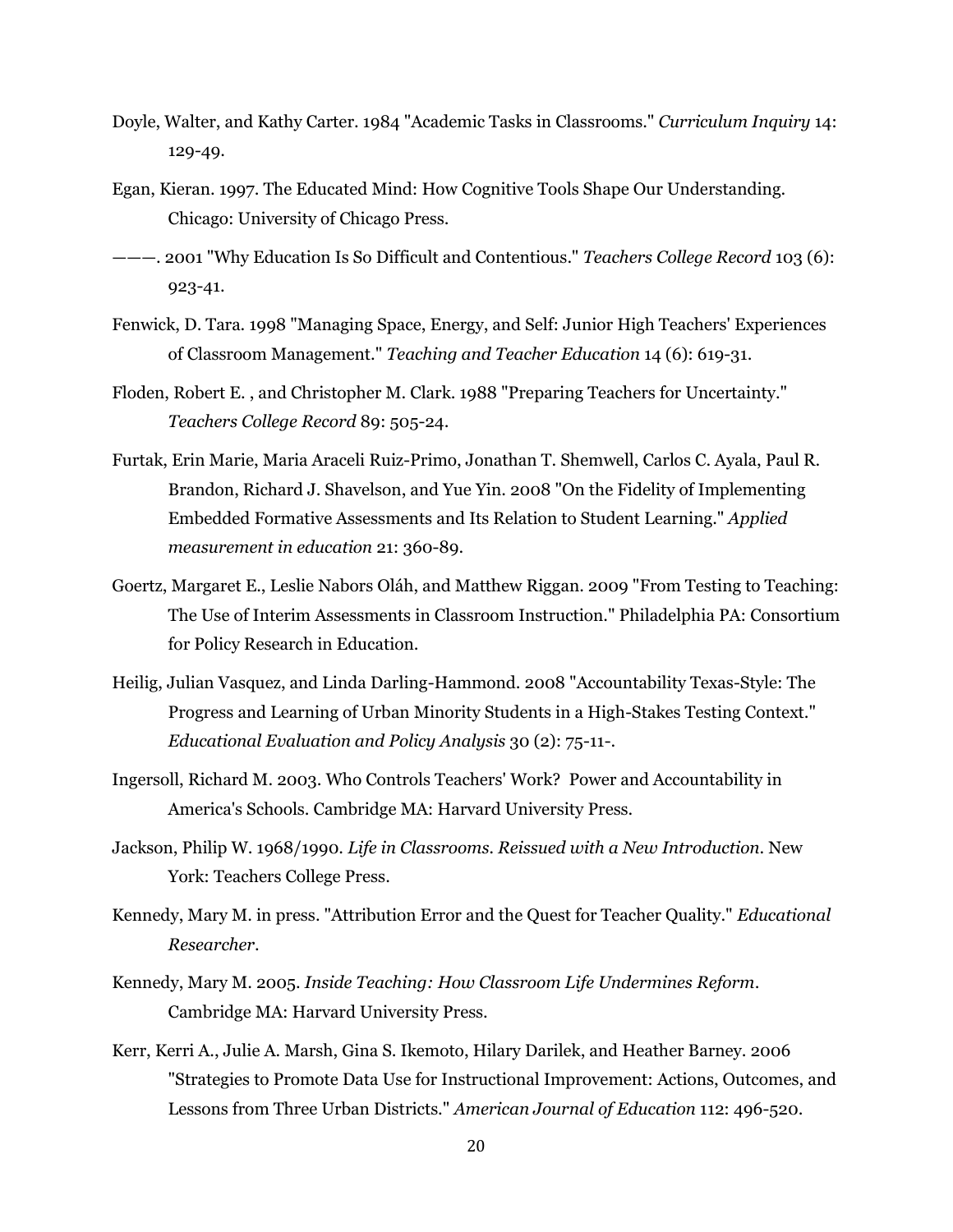- <span id="page-20-2"></span>Doyle, Walter, and Kathy Carter. 1984 "Academic Tasks in Classrooms." *Curriculum Inquiry* 14: 129-49.
- <span id="page-20-8"></span>Egan, Kieran. 1997. The Educated Mind: How Cognitive Tools Shape Our Understanding. Chicago: University of Chicago Press.
- <span id="page-20-9"></span>———. 2001 "Why Education Is So Difficult and Contentious." *Teachers College Record* 103 (6): 923-41.
- <span id="page-20-10"></span>Fenwick, D. Tara. 1998 "Managing Space, Energy, and Self: Junior High Teachers' Experiences of Classroom Management." *Teaching and Teacher Education* 14 (6): 619-31.
- <span id="page-20-5"></span>Floden, Robert E. , and Christopher M. Clark. 1988 "Preparing Teachers for Uncertainty." *Teachers College Record* 89: 505-24.
- <span id="page-20-7"></span>Furtak, Erin Marie, Maria Araceli Ruiz-Primo, Jonathan T. Shemwell, Carlos C. Ayala, Paul R. Brandon, Richard J. Shavelson, and Yue Yin. 2008 "On the Fidelity of Implementing Embedded Formative Assessments and Its Relation to Student Learning." *Applied measurement in education* 21: 360-89.
- <span id="page-20-6"></span>Goertz, Margaret E., Leslie Nabors Oláh, and Matthew Riggan. 2009 "From Testing to Teaching: The Use of Interim Assessments in Classroom Instruction." Philadelphia PA: Consortium for Policy Research in Education.
- <span id="page-20-1"></span>Heilig, Julian Vasquez, and Linda Darling-Hammond. 2008 "Accountability Texas-Style: The Progress and Learning of Urban Minority Students in a High-Stakes Testing Context." *Educational Evaluation and Policy Analysis* 30 (2): 75-11-.
- Ingersoll, Richard M. 2003. Who Controls Teachers' Work? Power and Accountability in America's Schools. Cambridge MA: Harvard University Press.
- <span id="page-20-3"></span>Jackson, Philip W. 1968/1990. *Life in Classrooms. Reissued with a New Introduction*. New York: Teachers College Press.
- <span id="page-20-11"></span>Kennedy, Mary M. in press. "Attribution Error and the Quest for Teacher Quality." *Educational Researcher*.
- <span id="page-20-4"></span>Kennedy, Mary M. 2005. *Inside Teaching: How Classroom Life Undermines Reform*. Cambridge MA: Harvard University Press.
- <span id="page-20-0"></span>Kerr, Kerri A., Julie A. Marsh, Gina S. Ikemoto, Hilary Darilek, and Heather Barney. 2006 "Strategies to Promote Data Use for Instructional Improvement: Actions, Outcomes, and Lessons from Three Urban Districts." *American Journal of Education* 112: 496-520.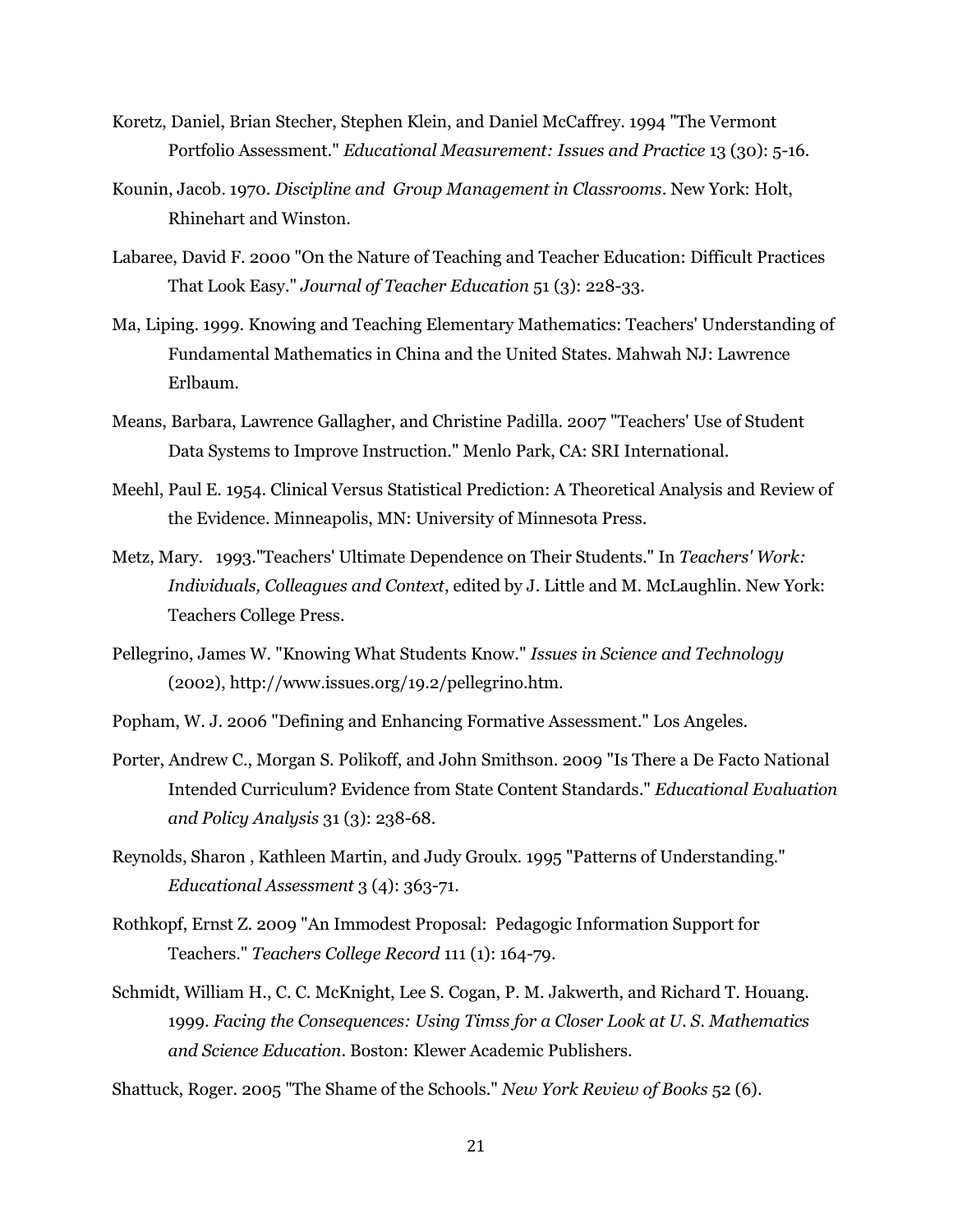- <span id="page-21-11"></span>Koretz, Daniel, Brian Stecher, Stephen Klein, and Daniel McCaffrey. 1994 "The Vermont Portfolio Assessment." *Educational Measurement: Issues and Practice* 13 (30): 5-16.
- <span id="page-21-4"></span>Kounin, Jacob. 1970. *Discipline and Group Management in Classrooms*. New York: Holt, Rhinehart and Winston.
- <span id="page-21-6"></span>Labaree, David F. 2000 "On the Nature of Teaching and Teacher Education: Difficult Practices That Look Easy." *Journal of Teacher Education* 51 (3): 228-33.
- Ma, Liping. 1999. Knowing and Teaching Elementary Mathematics: Teachers' Understanding of Fundamental Mathematics in China and the United States. Mahwah NJ: Lawrence Erlbaum.
- Means, Barbara, Lawrence Gallagher, and Christine Padilla. 2007 "Teachers' Use of Student Data Systems to Improve Instruction." Menlo Park, CA: SRI International.
- <span id="page-21-2"></span>Meehl, Paul E. 1954. Clinical Versus Statistical Prediction: A Theoretical Analysis and Review of the Evidence. Minneapolis, MN: University of Minnesota Press.
- <span id="page-21-3"></span>Metz, Mary. 1993."Teachers' Ultimate Dependence on Their Students." In *Teachers' Work: Individuals, Colleagues and Context*, edited by J. Little and M. McLaughlin. New York: Teachers College Press.
- <span id="page-21-7"></span>Pellegrino, James W. "Knowing What Students Know." *Issues in Science and Technology* (2002), http://www.issues.org/19.2/pellegrino.htm.
- <span id="page-21-0"></span>Popham, W. J. 2006 "Defining and Enhancing Formative Assessment." Los Angeles.
- <span id="page-21-9"></span>Porter, Andrew C., Morgan S. Polikoff, and John Smithson. 2009 "Is There a De Facto National Intended Curriculum? Evidence from State Content Standards." *Educational Evaluation and Policy Analysis* 31 (3): 238-68.
- <span id="page-21-5"></span>Reynolds, Sharon , Kathleen Martin, and Judy Groulx. 1995 "Patterns of Understanding." *Educational Assessment* 3 (4): 363-71.
- <span id="page-21-1"></span>Rothkopf, Ernst Z. 2009 "An Immodest Proposal: Pedagogic Information Support for Teachers." *Teachers College Record* 111 (1): 164-79.
- <span id="page-21-10"></span>Schmidt, William H., C. C. McKnight, Lee S. Cogan, P. M. Jakwerth, and Richard T. Houang. 1999. *Facing the Consequences: Using Timss for a Closer Look at U. S. Mathematics and Science Education*. Boston: Klewer Academic Publishers.

<span id="page-21-8"></span>Shattuck, Roger. 2005 "The Shame of the Schools." *New York Review of Books* 52 (6).